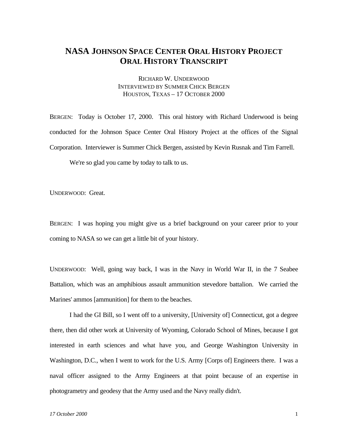## **NASA JOHNSON SPACE CENTER ORAL HISTORY PROJECT ORAL HISTORY TRANSCRIPT**

RICHARD W. UNDERWOOD INTERVIEWED BY SUMMER CHICK BERGEN HOUSTON, TEXAS – 17 OCTOBER 2000

BERGEN: Today is October 17, 2000. This oral history with Richard Underwood is being conducted for the Johnson Space Center Oral History Project at the offices of the Signal Corporation. Interviewer is Summer Chick Bergen, assisted by Kevin Rusnak and Tim Farrell.

We're so glad you came by today to talk to us.

UNDERWOOD: Great.

BERGEN: I was hoping you might give us a brief background on your career prior to your coming to NASA so we can get a little bit of your history.

UNDERWOOD: Well, going way back, I was in the Navy in World War II, in the 7 Seabee Battalion, which was an amphibious assault ammunition stevedore battalion. We carried the Marines' ammos [ammunition] for them to the beaches.

I had the GI Bill, so I went off to a university, [University of] Connecticut, got a degree there, then did other work at University of Wyoming, Colorado School of Mines, because I got interested in earth sciences and what have you, and George Washington University in Washington, D.C., when I went to work for the U.S. Army [Corps of] Engineers there. I was a naval officer assigned to the Army Engineers at that point because of an expertise in photogrametry and geodesy that the Army used and the Navy really didn't.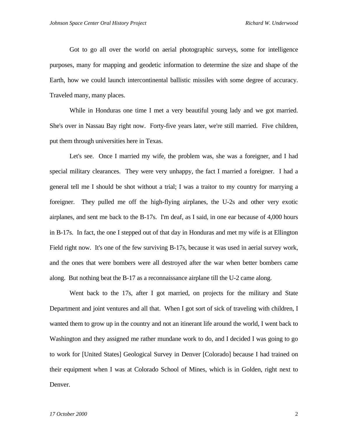Got to go all over the world on aerial photographic surveys, some for intelligence purposes, many for mapping and geodetic information to determine the size and shape of the Earth, how we could launch intercontinental ballistic missiles with some degree of accuracy. Traveled many, many places.

While in Honduras one time I met a very beautiful young lady and we got married. She's over in Nassau Bay right now. Forty-five years later, we're still married. Five children, put them through universities here in Texas.

Let's see. Once I married my wife, the problem was, she was a foreigner, and I had special military clearances. They were very unhappy, the fact I married a foreigner. I had a general tell me I should be shot without a trial; I was a traitor to my country for marrying a foreigner. They pulled me off the high-flying airplanes, the U-2s and other very exotic airplanes, and sent me back to the B-17s. I'm deaf, as I said, in one ear because of 4,000 hours in B-17s. In fact, the one I stepped out of that day in Honduras and met my wife is at Ellington Field right now. It's one of the few surviving B-17s, because it was used in aerial survey work, and the ones that were bombers were all destroyed after the war when better bombers came along. But nothing beat the B-17 as a reconnaissance airplane till the U-2 came along.

Went back to the 17s, after I got married, on projects for the military and State Department and joint ventures and all that. When I got sort of sick of traveling with children, I wanted them to grow up in the country and not an itinerant life around the world, I went back to Washington and they assigned me rather mundane work to do, and I decided I was going to go to work for [United States] Geological Survey in Denver [Colorado] because I had trained on their equipment when I was at Colorado School of Mines, which is in Golden, right next to Denver.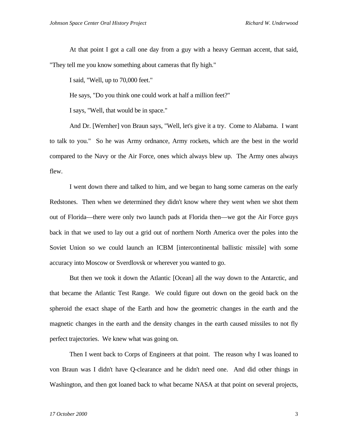At that point I got a call one day from a guy with a heavy German accent, that said, "They tell me you know something about cameras that fly high."

I said, "Well, up to 70,000 feet."

He says, "Do you think one could work at half a million feet?"

I says, "Well, that would be in space."

And Dr. [Wernher] von Braun says, "Well, let's give it a try. Come to Alabama. I want to talk to you." So he was Army ordnance, Army rockets, which are the best in the world compared to the Navy or the Air Force, ones which always blew up. The Army ones always flew.

I went down there and talked to him, and we began to hang some cameras on the early Redstones. Then when we determined they didn't know where they went when we shot them out of Florida—there were only two launch pads at Florida then—we got the Air Force guys back in that we used to lay out a grid out of northern North America over the poles into the Soviet Union so we could launch an ICBM [intercontinental ballistic missile] with some accuracy into Moscow or Sverdlovsk or wherever you wanted to go.

But then we took it down the Atlantic [Ocean] all the way down to the Antarctic, and that became the Atlantic Test Range. We could figure out down on the geoid back on the spheroid the exact shape of the Earth and how the geometric changes in the earth and the magnetic changes in the earth and the density changes in the earth caused missiles to not fly perfect trajectories. We knew what was going on.

Then I went back to Corps of Engineers at that point. The reason why I was loaned to von Braun was I didn't have Q-clearance and he didn't need one. And did other things in Washington, and then got loaned back to what became NASA at that point on several projects,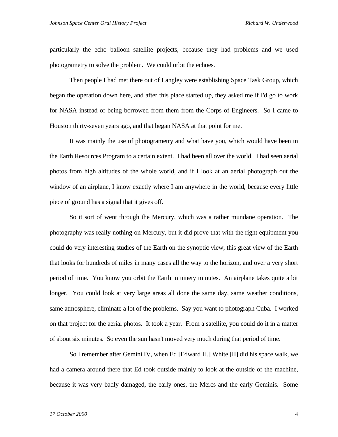particularly the echo balloon satellite projects, because they had problems and we used photogrametry to solve the problem. We could orbit the echoes.

Then people I had met there out of Langley were establishing Space Task Group, which began the operation down here, and after this place started up, they asked me if I'd go to work for NASA instead of being borrowed from them from the Corps of Engineers. So I came to Houston thirty-seven years ago, and that began NASA at that point for me.

It was mainly the use of photogrametry and what have you, which would have been in the Earth Resources Program to a certain extent. I had been all over the world. I had seen aerial photos from high altitudes of the whole world, and if I look at an aerial photograph out the window of an airplane, I know exactly where I am anywhere in the world, because every little piece of ground has a signal that it gives off.

So it sort of went through the Mercury, which was a rather mundane operation. The photography was really nothing on Mercury, but it did prove that with the right equipment you could do very interesting studies of the Earth on the synoptic view, this great view of the Earth that looks for hundreds of miles in many cases all the way to the horizon, and over a very short period of time. You know you orbit the Earth in ninety minutes. An airplane takes quite a bit longer. You could look at very large areas all done the same day, same weather conditions, same atmosphere, eliminate a lot of the problems. Say you want to photograph Cuba. I worked on that project for the aerial photos. It took a year. From a satellite, you could do it in a matter of about six minutes. So even the sun hasn't moved very much during that period of time.

So I remember after Gemini IV, when Ed [Edward H.] White [II] did his space walk, we had a camera around there that Ed took outside mainly to look at the outside of the machine, because it was very badly damaged, the early ones, the Mercs and the early Geminis. Some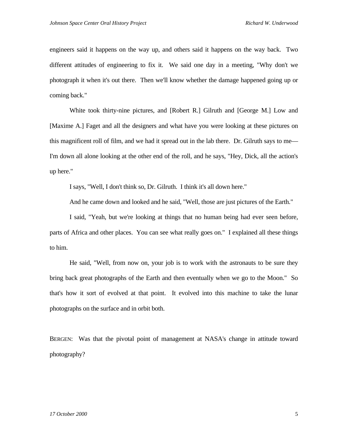engineers said it happens on the way up, and others said it happens on the way back. Two different attitudes of engineering to fix it. We said one day in a meeting, "Why don't we photograph it when it's out there. Then we'll know whether the damage happened going up or coming back."

White took thirty-nine pictures, and [Robert R.] Gilruth and [George M.] Low and [Maxime A.] Faget and all the designers and what have you were looking at these pictures on this magnificent roll of film, and we had it spread out in the lab there. Dr. Gilruth says to me— I'm down all alone looking at the other end of the roll, and he says, "Hey, Dick, all the action's up here."

I says, "Well, I don't think so, Dr. Gilruth. I think it's all down here."

And he came down and looked and he said, "Well, those are just pictures of the Earth."

I said, "Yeah, but we're looking at things that no human being had ever seen before, parts of Africa and other places. You can see what really goes on." I explained all these things to him.

He said, "Well, from now on, your job is to work with the astronauts to be sure they bring back great photographs of the Earth and then eventually when we go to the Moon." So that's how it sort of evolved at that point. It evolved into this machine to take the lunar photographs on the surface and in orbit both.

BERGEN: Was that the pivotal point of management at NASA's change in attitude toward photography?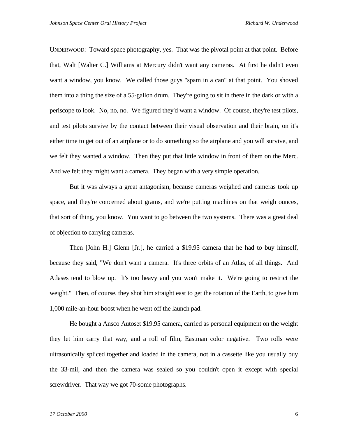UNDERWOOD: Toward space photography, yes. That was the pivotal point at that point. Before that, Walt [Walter C.] Williams at Mercury didn't want any cameras. At first he didn't even want a window, you know. We called those guys "spam in a can" at that point. You shoved them into a thing the size of a 55-gallon drum. They're going to sit in there in the dark or with a periscope to look. No, no, no. We figured they'd want a window. Of course, they're test pilots, and test pilots survive by the contact between their visual observation and their brain, on it's either time to get out of an airplane or to do something so the airplane and you will survive, and we felt they wanted a window. Then they put that little window in front of them on the Merc. And we felt they might want a camera. They began with a very simple operation.

But it was always a great antagonism, because cameras weighed and cameras took up space, and they're concerned about grams, and we're putting machines on that weigh ounces, that sort of thing, you know. You want to go between the two systems. There was a great deal of objection to carrying cameras.

Then [John H.] Glenn [Jr.], he carried a \$19.95 camera that he had to buy himself, because they said, "We don't want a camera. It's three orbits of an Atlas, of all things. And Atlases tend to blow up. It's too heavy and you won't make it. We're going to restrict the weight." Then, of course, they shot him straight east to get the rotation of the Earth, to give him 1,000 mile-an-hour boost when he went off the launch pad.

He bought a Ansco Autoset \$19.95 camera, carried as personal equipment on the weight they let him carry that way, and a roll of film, Eastman color negative. Two rolls were ultrasonically spliced together and loaded in the camera, not in a cassette like you usually buy the 33-mil, and then the camera was sealed so you couldn't open it except with special screwdriver. That way we got 70-some photographs.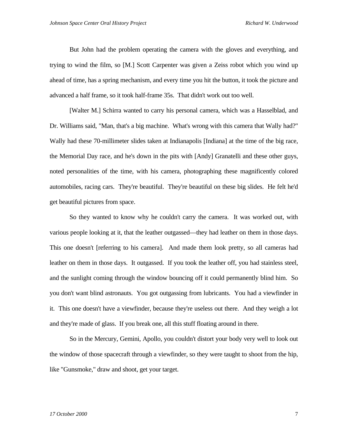But John had the problem operating the camera with the gloves and everything, and trying to wind the film, so [M.] Scott Carpenter was given a Zeiss robot which you wind up ahead of time, has a spring mechanism, and every time you hit the button, it took the picture and advanced a half frame, so it took half-frame 35s. That didn't work out too well.

[Walter M.] Schirra wanted to carry his personal camera, which was a Hasselblad, and Dr. Williams said, "Man, that's a big machine. What's wrong with this camera that Wally had?" Wally had these 70-millimeter slides taken at Indianapolis [Indiana] at the time of the big race, the Memorial Day race, and he's down in the pits with [Andy] Granatelli and these other guys, noted personalities of the time, with his camera, photographing these magnificently colored automobiles, racing cars. They're beautiful. They're beautiful on these big slides. He felt he'd get beautiful pictures from space.

So they wanted to know why he couldn't carry the camera. It was worked out, with various people looking at it, that the leather outgassed—they had leather on them in those days. This one doesn't [referring to his camera]. And made them look pretty, so all cameras had leather on them in those days. It outgassed. If you took the leather off, you had stainless steel, and the sunlight coming through the window bouncing off it could permanently blind him. So you don't want blind astronauts. You got outgassing from lubricants. You had a viewfinder in it. This one doesn't have a viewfinder, because they're useless out there. And they weigh a lot and they're made of glass. If you break one, all this stuff floating around in there.

So in the Mercury, Gemini, Apollo, you couldn't distort your body very well to look out the window of those spacecraft through a viewfinder, so they were taught to shoot from the hip, like "Gunsmoke," draw and shoot, get your target.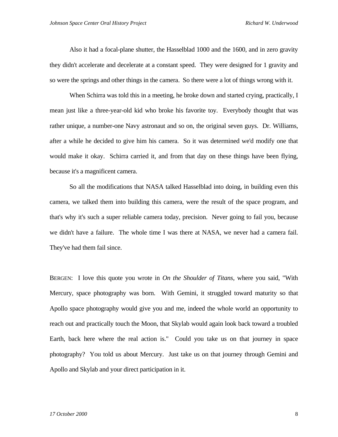Also it had a focal-plane shutter, the Hasselblad 1000 and the 1600, and in zero gravity they didn't accelerate and decelerate at a constant speed. They were designed for 1 gravity and so were the springs and other things in the camera. So there were a lot of things wrong with it.

When Schirra was told this in a meeting, he broke down and started crying, practically, I mean just like a three-year-old kid who broke his favorite toy. Everybody thought that was rather unique, a number-one Navy astronaut and so on, the original seven guys. Dr. Williams, after a while he decided to give him his camera. So it was determined we'd modify one that would make it okay. Schirra carried it, and from that day on these things have been flying, because it's a magnificent camera.

So all the modifications that NASA talked Hasselblad into doing, in building even this camera, we talked them into building this camera, were the result of the space program, and that's why it's such a super reliable camera today, precision. Never going to fail you, because we didn't have a failure. The whole time I was there at NASA, we never had a camera fail. They've had them fail since.

BERGEN: I love this quote you wrote in *On the Shoulder of Titans*, where you said, "With Mercury, space photography was born. With Gemini, it struggled toward maturity so that Apollo space photography would give you and me, indeed the whole world an opportunity to reach out and practically touch the Moon, that Skylab would again look back toward a troubled Earth, back here where the real action is." Could you take us on that journey in space photography? You told us about Mercury. Just take us on that journey through Gemini and Apollo and Skylab and your direct participation in it.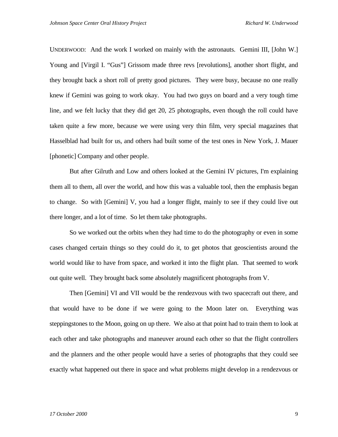UNDERWOOD: And the work I worked on mainly with the astronauts. Gemini III, [John W.] Young and [Virgil I. "Gus"] Grissom made three revs [revolutions], another short flight, and they brought back a short roll of pretty good pictures. They were busy, because no one really knew if Gemini was going to work okay. You had two guys on board and a very tough time line, and we felt lucky that they did get 20, 25 photographs, even though the roll could have taken quite a few more, because we were using very thin film, very special magazines that Hasselblad had built for us, and others had built some of the test ones in New York, J. Mauer [phonetic] Company and other people.

But after Gilruth and Low and others looked at the Gemini IV pictures, I'm explaining them all to them, all over the world, and how this was a valuable tool, then the emphasis began to change. So with [Gemini] V, you had a longer flight, mainly to see if they could live out there longer, and a lot of time. So let them take photographs.

So we worked out the orbits when they had time to do the photography or even in some cases changed certain things so they could do it, to get photos that geoscientists around the world would like to have from space, and worked it into the flight plan. That seemed to work out quite well. They brought back some absolutely magnificent photographs from V.

Then [Gemini] VI and VII would be the rendezvous with two spacecraft out there, and that would have to be done if we were going to the Moon later on. Everything was steppingstones to the Moon, going on up there. We also at that point had to train them to look at each other and take photographs and maneuver around each other so that the flight controllers and the planners and the other people would have a series of photographs that they could see exactly what happened out there in space and what problems might develop in a rendezvous or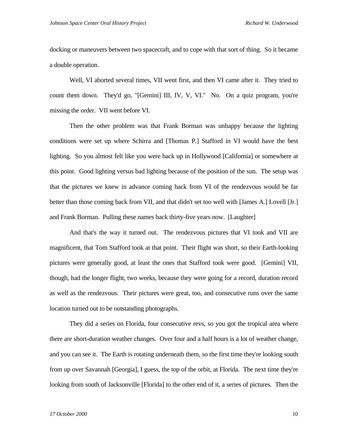docking or maneuvers between two spacecraft, and to cope with that sort of thing. So it became a double operation.

Well, VI aborted several times, VII went first, and then VI came after it. They tried to count them down. They'd go, "[Gemini] III, IV, V, VI." No. On a quiz program, you're missing the order. VII went before VI.

Then the other problem was that Frank Borman was unhappy because the lighting conditions were set up where Schirra and [Thomas P.] Stafford in VI would have the best lighting. So you almost felt like you were back up in Hollywood [California] or somewhere at this point. Good lighting versus bad lighting because of the position of the sun. The setup was that the pictures we knew in advance coming back from VI of the rendezvous would be far better than those coming back from VII, and that didn't set too well with [James A.] Lovell [Jr.] and Frank Borman. Pulling these names back thirty-five years now. [Laughter]

And that's the way it turned out. The rendezvous pictures that VI took and VII are magnificent, that Tom Stafford took at that point. Their flight was short, so their Earth-looking pictures were generally good, at least the ones that Stafford took were good. [Gemini] VII, though, had the longer flight, two weeks, because they were going for a record, duration record as well as the rendezvous. Their pictures were great, too, and consecutive runs over the same location turned out to be outstanding photographs.

They did a series on Florida, four consecutive revs, so you got the tropical area where there are short-duration weather changes. Over four and a half hours is a lot of weather change, and you can see it. The Earth is rotating underneath them, so the first time they're looking south from up over Savannah [Georgia], I guess, the top of the orbit, at Florida. The next time they're looking from south of Jacksonville [Florida] to the other end of it, a series of pictures. Then the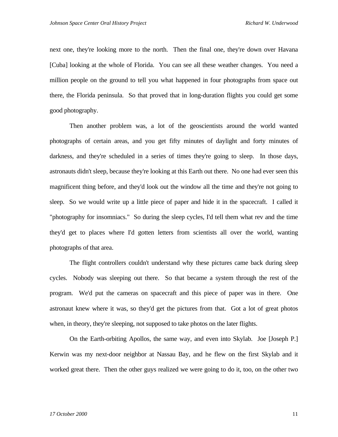next one, they're looking more to the north. Then the final one, they're down over Havana [Cuba] looking at the whole of Florida. You can see all these weather changes. You need a million people on the ground to tell you what happened in four photographs from space out there, the Florida peninsula. So that proved that in long-duration flights you could get some good photography.

Then another problem was, a lot of the geoscientists around the world wanted photographs of certain areas, and you get fifty minutes of daylight and forty minutes of darkness, and they're scheduled in a series of times they're going to sleep. In those days, astronauts didn't sleep, because they're looking at this Earth out there. No one had ever seen this magnificent thing before, and they'd look out the window all the time and they're not going to sleep. So we would write up a little piece of paper and hide it in the spacecraft. I called it "photography for insomniacs." So during the sleep cycles, I'd tell them what rev and the time they'd get to places where I'd gotten letters from scientists all over the world, wanting photographs of that area.

The flight controllers couldn't understand why these pictures came back during sleep cycles. Nobody was sleeping out there. So that became a system through the rest of the program. We'd put the cameras on spacecraft and this piece of paper was in there. One astronaut knew where it was, so they'd get the pictures from that. Got a lot of great photos when, in theory, they're sleeping, not supposed to take photos on the later flights.

 On the Earth-orbiting Apollos, the same way, and even into Skylab. Joe [Joseph P.] Kerwin was my next-door neighbor at Nassau Bay, and he flew on the first Skylab and it worked great there. Then the other guys realized we were going to do it, too, on the other two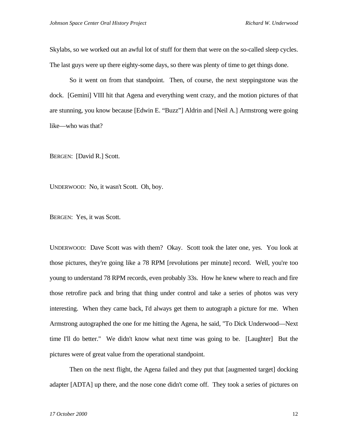Skylabs, so we worked out an awful lot of stuff for them that were on the so-called sleep cycles. The last guys were up there eighty-some days, so there was plenty of time to get things done.

So it went on from that standpoint. Then, of course, the next steppingstone was the dock. [Gemini] VIII hit that Agena and everything went crazy, and the motion pictures of that are stunning, you know because [Edwin E. "Buzz"] Aldrin and [Neil A.] Armstrong were going like—who was that?

BERGEN: [David R.] Scott.

UNDERWOOD: No, it wasn't Scott. Oh, boy.

BERGEN: Yes, it was Scott.

UNDERWOOD: Dave Scott was with them? Okay. Scott took the later one, yes. You look at those pictures, they're going like a 78 RPM [revolutions per minute] record. Well, you're too young to understand 78 RPM records, even probably 33s. How he knew where to reach and fire those retrofire pack and bring that thing under control and take a series of photos was very interesting. When they came back, I'd always get them to autograph a picture for me. When Armstrong autographed the one for me hitting the Agena, he said, "To Dick Underwood—Next time I'll do better." We didn't know what next time was going to be. [Laughter] But the pictures were of great value from the operational standpoint.

Then on the next flight, the Agena failed and they put that [augmented target] docking adapter [ADTA] up there, and the nose cone didn't come off. They took a series of pictures on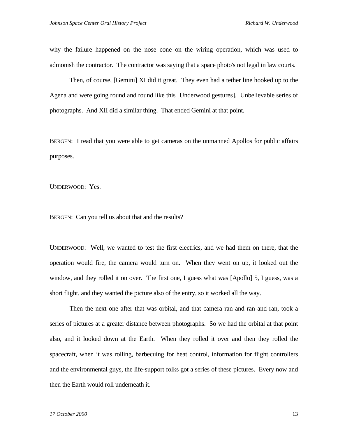why the failure happened on the nose cone on the wiring operation, which was used to admonish the contractor. The contractor was saying that a space photo's not legal in law courts.

Then, of course, [Gemini] XI did it great. They even had a tether line hooked up to the Agena and were going round and round like this [Underwood gestures]. Unbelievable series of photographs. And XII did a similar thing. That ended Gemini at that point.

BERGEN: I read that you were able to get cameras on the unmanned Apollos for public affairs purposes.

UNDERWOOD: Yes.

BERGEN: Can you tell us about that and the results?

UNDERWOOD: Well, we wanted to test the first electrics, and we had them on there, that the operation would fire, the camera would turn on. When they went on up, it looked out the window, and they rolled it on over. The first one, I guess what was [Apollo] 5, I guess, was a short flight, and they wanted the picture also of the entry, so it worked all the way.

Then the next one after that was orbital, and that camera ran and ran and ran, took a series of pictures at a greater distance between photographs. So we had the orbital at that point also, and it looked down at the Earth. When they rolled it over and then they rolled the spacecraft, when it was rolling, barbecuing for heat control, information for flight controllers and the environmental guys, the life-support folks got a series of these pictures. Every now and then the Earth would roll underneath it.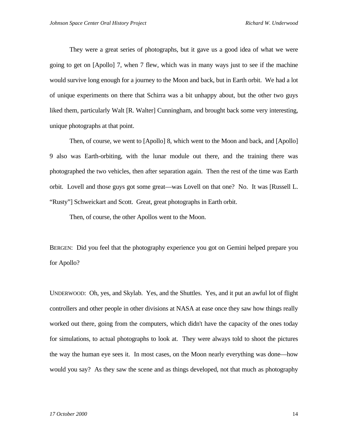They were a great series of photographs, but it gave us a good idea of what we were going to get on [Apollo] 7, when 7 flew, which was in many ways just to see if the machine would survive long enough for a journey to the Moon and back, but in Earth orbit. We had a lot of unique experiments on there that Schirra was a bit unhappy about, but the other two guys liked them, particularly Walt [R. Walter] Cunningham, and brought back some very interesting, unique photographs at that point.

Then, of course, we went to [Apollo] 8, which went to the Moon and back, and [Apollo] 9 also was Earth-orbiting, with the lunar module out there, and the training there was photographed the two vehicles, then after separation again. Then the rest of the time was Earth orbit. Lovell and those guys got some great—was Lovell on that one? No. It was [Russell L. "Rusty"] Schweickart and Scott. Great, great photographs in Earth orbit.

Then, of course, the other Apollos went to the Moon.

BERGEN: Did you feel that the photography experience you got on Gemini helped prepare you for Apollo?

UNDERWOOD: Oh, yes, and Skylab. Yes, and the Shuttles. Yes, and it put an awful lot of flight controllers and other people in other divisions at NASA at ease once they saw how things really worked out there, going from the computers, which didn't have the capacity of the ones today for simulations, to actual photographs to look at. They were always told to shoot the pictures the way the human eye sees it. In most cases, on the Moon nearly everything was done—how would you say? As they saw the scene and as things developed, not that much as photography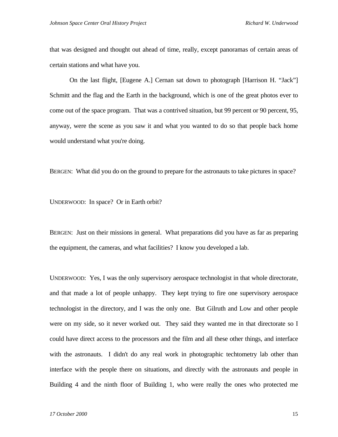that was designed and thought out ahead of time, really, except panoramas of certain areas of certain stations and what have you.

On the last flight, [Eugene A.] Cernan sat down to photograph [Harrison H. "Jack"] Schmitt and the flag and the Earth in the background, which is one of the great photos ever to come out of the space program. That was a contrived situation, but 99 percent or 90 percent, 95, anyway, were the scene as you saw it and what you wanted to do so that people back home would understand what you're doing.

BERGEN: What did you do on the ground to prepare for the astronauts to take pictures in space?

UNDERWOOD: In space? Or in Earth orbit?

BERGEN: Just on their missions in general. What preparations did you have as far as preparing the equipment, the cameras, and what facilities? I know you developed a lab.

UNDERWOOD: Yes, I was the only supervisory aerospace technologist in that whole directorate, and that made a lot of people unhappy. They kept trying to fire one supervisory aerospace technologist in the directory, and I was the only one. But Gilruth and Low and other people were on my side, so it never worked out. They said they wanted me in that directorate so I could have direct access to the processors and the film and all these other things, and interface with the astronauts. I didn't do any real work in photographic techtometry lab other than interface with the people there on situations, and directly with the astronauts and people in Building 4 and the ninth floor of Building 1, who were really the ones who protected me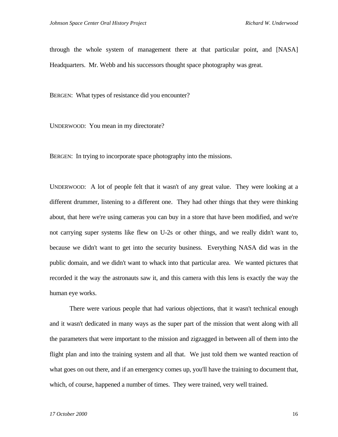through the whole system of management there at that particular point, and [NASA] Headquarters. Mr. Webb and his successors thought space photography was great.

BERGEN: What types of resistance did you encounter?

UNDERWOOD: You mean in my directorate?

BERGEN: In trying to incorporate space photography into the missions.

UNDERWOOD: A lot of people felt that it wasn't of any great value. They were looking at a different drummer, listening to a different one. They had other things that they were thinking about, that here we're using cameras you can buy in a store that have been modified, and we're not carrying super systems like flew on U-2s or other things, and we really didn't want to, because we didn't want to get into the security business. Everything NASA did was in the public domain, and we didn't want to whack into that particular area. We wanted pictures that recorded it the way the astronauts saw it, and this camera with this lens is exactly the way the human eye works.

There were various people that had various objections, that it wasn't technical enough and it wasn't dedicated in many ways as the super part of the mission that went along with all the parameters that were important to the mission and zigzagged in between all of them into the flight plan and into the training system and all that. We just told them we wanted reaction of what goes on out there, and if an emergency comes up, you'll have the training to document that, which, of course, happened a number of times. They were trained, very well trained.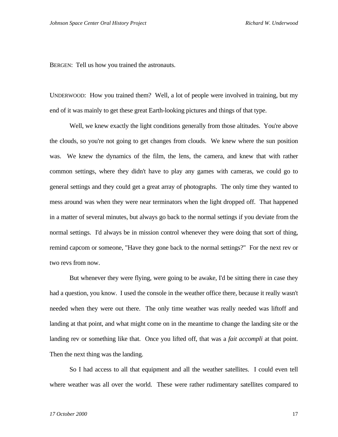BERGEN: Tell us how you trained the astronauts.

UNDERWOOD: How you trained them? Well, a lot of people were involved in training, but my end of it was mainly to get these great Earth-looking pictures and things of that type.

Well, we knew exactly the light conditions generally from those altitudes. You're above the clouds, so you're not going to get changes from clouds. We knew where the sun position was. We knew the dynamics of the film, the lens, the camera, and knew that with rather common settings, where they didn't have to play any games with cameras, we could go to general settings and they could get a great array of photographs. The only time they wanted to mess around was when they were near terminators when the light dropped off. That happened in a matter of several minutes, but always go back to the normal settings if you deviate from the normal settings. I'd always be in mission control whenever they were doing that sort of thing, remind capcom or someone, "Have they gone back to the normal settings?" For the next rev or two revs from now.

But whenever they were flying, were going to be awake, I'd be sitting there in case they had a question, you know. I used the console in the weather office there, because it really wasn't needed when they were out there. The only time weather was really needed was liftoff and landing at that point, and what might come on in the meantime to change the landing site or the landing rev or something like that. Once you lifted off, that was a *fait accompli* at that point. Then the next thing was the landing.

So I had access to all that equipment and all the weather satellites. I could even tell where weather was all over the world. These were rather rudimentary satellites compared to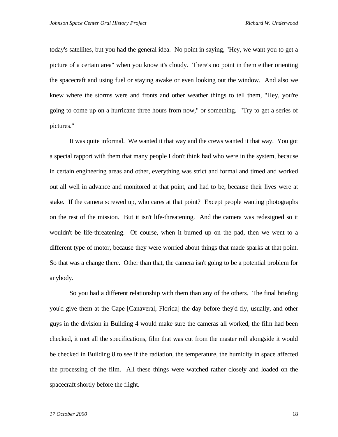today's satellites, but you had the general idea. No point in saying, "Hey, we want you to get a picture of a certain area" when you know it's cloudy. There's no point in them either orienting the spacecraft and using fuel or staying awake or even looking out the window. And also we knew where the storms were and fronts and other weather things to tell them, "Hey, you're going to come up on a hurricane three hours from now," or something. "Try to get a series of pictures."

It was quite informal. We wanted it that way and the crews wanted it that way. You got a special rapport with them that many people I don't think had who were in the system, because in certain engineering areas and other, everything was strict and formal and timed and worked out all well in advance and monitored at that point, and had to be, because their lives were at stake. If the camera screwed up, who cares at that point? Except people wanting photographs on the rest of the mission. But it isn't life-threatening. And the camera was redesigned so it wouldn't be life-threatening. Of course, when it burned up on the pad, then we went to a different type of motor, because they were worried about things that made sparks at that point. So that was a change there. Other than that, the camera isn't going to be a potential problem for anybody.

So you had a different relationship with them than any of the others. The final briefing you'd give them at the Cape [Canaveral, Florida] the day before they'd fly, usually, and other guys in the division in Building 4 would make sure the cameras all worked, the film had been checked, it met all the specifications, film that was cut from the master roll alongside it would be checked in Building 8 to see if the radiation, the temperature, the humidity in space affected the processing of the film. All these things were watched rather closely and loaded on the spacecraft shortly before the flight.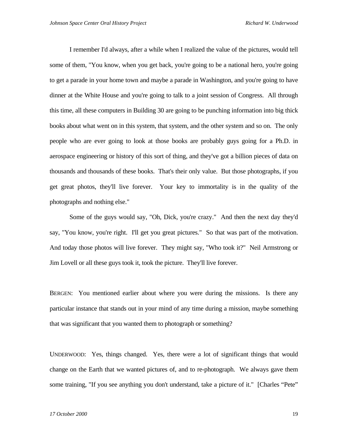I remember I'd always, after a while when I realized the value of the pictures, would tell some of them, "You know, when you get back, you're going to be a national hero, you're going to get a parade in your home town and maybe a parade in Washington, and you're going to have dinner at the White House and you're going to talk to a joint session of Congress. All through this time, all these computers in Building 30 are going to be punching information into big thick books about what went on in this system, that system, and the other system and so on. The only people who are ever going to look at those books are probably guys going for a Ph.D. in aerospace engineering or history of this sort of thing, and they've got a billion pieces of data on thousands and thousands of these books. That's their only value. But those photographs, if you get great photos, they'll live forever. Your key to immortality is in the quality of the photographs and nothing else."

Some of the guys would say, "Oh, Dick, you're crazy." And then the next day they'd say, "You know, you're right. I'll get you great pictures." So that was part of the motivation. And today those photos will live forever. They might say, "Who took it?" Neil Armstrong or Jim Lovell or all these guys took it, took the picture. They'll live forever.

BERGEN: You mentioned earlier about where you were during the missions. Is there any particular instance that stands out in your mind of any time during a mission, maybe something that was significant that you wanted them to photograph or something?

UNDERWOOD: Yes, things changed. Yes, there were a lot of significant things that would change on the Earth that we wanted pictures of, and to re-photograph. We always gave them some training, "If you see anything you don't understand, take a picture of it." [Charles "Pete"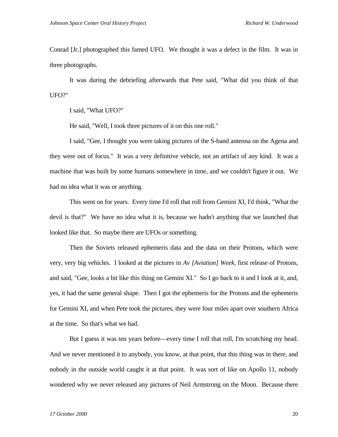Conrad [Jr.] photographed this famed UFO. We thought it was a defect in the film. It was in three photographs.

It was during the debriefing afterwards that Pete said, "What did you think of that UFO?"

I said, "What UFO?"

He said, "Well, I took three pictures of it on this one roll."

I said, "Gee, I thought you were taking pictures of the S-band antenna on the Agena and they were out of focus." It was a very definitive vehicle, not an artifact of any kind. It was a machine that was built by some humans somewhere in time, and we couldn't figure it out. We had no idea what it was or anything.

This went on for years. Every time I'd roll that roll from Gemini XI, I'd think, "What the devil is that?" We have no idea what it is, because we hadn't anything that we launched that looked like that. So maybe there are UFOs or something.

Then the Soviets released ephemeris data and the data on their Protons, which were very, very big vehicles. I looked at the pictures in *Av [Aviation] Week*, first release of Protons, and said, "Gee, looks a bit like this thing on Gemini XI." So I go back to it and I look at it, and, yes, it had the same general shape. Then I got the ephemeris for the Protons and the ephemeris for Gemini XI, and when Pete took the pictures, they were four miles apart over southern Africa at the time. So that's what we had.

But I guess it was ten years before—every time I roll that roll, I'm scratching my head. And we never mentioned it to anybody, you know, at that point, that this thing was in there, and nobody in the outside world caught it at that point. It was sort of like on Apollo 11, nobody wondered why we never released any pictures of Neil Armstrong on the Moon. Because there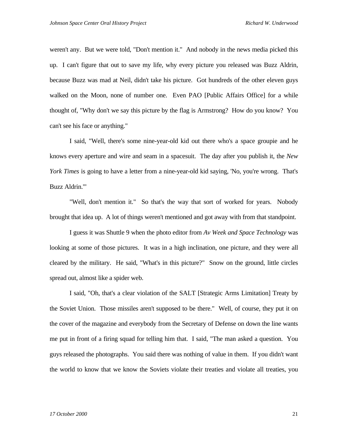weren't any. But we were told, "Don't mention it." And nobody in the news media picked this up. I can't figure that out to save my life, why every picture you released was Buzz Aldrin, because Buzz was mad at Neil, didn't take his picture. Got hundreds of the other eleven guys walked on the Moon, none of number one. Even PAO [Public Affairs Office] for a while thought of, "Why don't we say this picture by the flag is Armstrong? How do you know? You can't see his face or anything."

I said, "Well, there's some nine-year-old kid out there who's a space groupie and he knows every aperture and wire and seam in a spacesuit. The day after you publish it, the *New York Times* is going to have a letter from a nine-year-old kid saying, 'No, you're wrong. That's Buzz Aldrin.'"

"Well, don't mention it." So that's the way that sort of worked for years. Nobody brought that idea up. A lot of things weren't mentioned and got away with from that standpoint.

I guess it was Shuttle 9 when the photo editor from *Av Week and Space Technology* was looking at some of those pictures. It was in a high inclination, one picture, and they were all cleared by the military. He said, "What's in this picture?" Snow on the ground, little circles spread out, almost like a spider web.

I said, "Oh, that's a clear violation of the SALT [Strategic Arms Limitation] Treaty by the Soviet Union. Those missiles aren't supposed to be there." Well, of course, they put it on the cover of the magazine and everybody from the Secretary of Defense on down the line wants me put in front of a firing squad for telling him that. I said, "The man asked a question. You guys released the photographs. You said there was nothing of value in them. If you didn't want the world to know that we know the Soviets violate their treaties and violate all treaties, you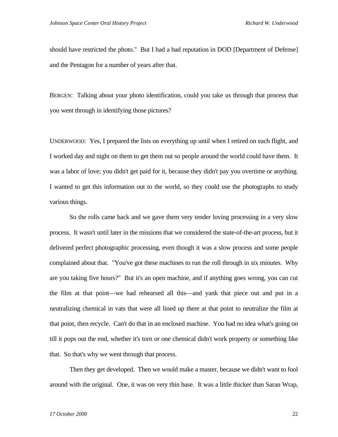should have restricted the photo." But I had a bad reputation in DOD [Department of Defense] and the Pentagon for a number of years after that.

BERGEN: Talking about your photo identification, could you take us through that process that you went through in identifying those pictures?

UNDERWOOD: Yes, I prepared the lists on everything up until when I retired on each flight, and I worked day and night on them to get them out so people around the world could have them. It was a labor of love; you didn't get paid for it, because they didn't pay you overtime or anything. I wanted to get this information out to the world, so they could use the photographs to study various things.

So the rolls came back and we gave them very tender loving processing in a very slow process. It wasn't until later in the missions that we considered the state-of-the-art process, but it delivered perfect photographic processing, even though it was a slow process and some people complained about that. "You've got these machines to run the roll through in six minutes. Why are you taking five hours?" But it's an open machine, and if anything goes wrong, you can cut the film at that point—we had rehearsed all this—and yank that piece out and put in a neutralizing chemical in vats that were all lined up there at that point to neutralize the film at that point, then recycle. Can't do that in an enclosed machine. You had no idea what's going on till it pops out the end, whether it's torn or one chemical didn't work property or something like that. So that's why we went through that process.

Then they get developed. Then we would make a master, because we didn't want to fool around with the original. One, it was on very thin base. It was a little thicker than Saran Wrap,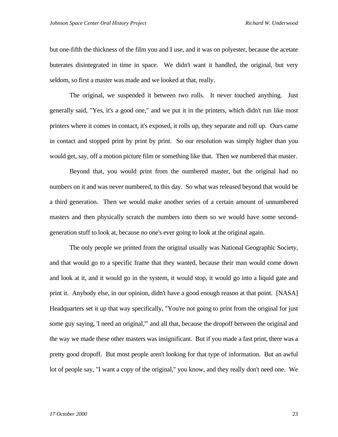but one-fifth the thickness of the film you and I use, and it was on polyester, because the acetate buterates disintegrated in time in space. We didn't want it handled, the original, but very seldom, so first a master was made and we looked at that, really.

The original, we suspended it between two rolls. It never touched anything. Just generally said, "Yes, it's a good one," and we put it in the printers, which didn't run like most printers where it comes in contact, it's exposed, it rolls up, they separate and roll up. Ours came in contact and stopped print by print by print. So our resolution was simply higher than you would get, say, off a motion picture film or something like that. Then we numbered that master.

Beyond that, you would print from the numbered master, but the original had no numbers on it and was never numbered, to this day. So what was released beyond that would be a third generation. Then we would make another series of a certain amount of unnumbered masters and then physically scratch the numbers into them so we would have some secondgeneration stuff to look at, because no one's ever going to look at the original again.

The only people we printed from the original usually was National Geographic Society, and that would go to a specific frame that they wanted, because their man would come down and look at it, and it would go in the system, it would stop, it would go into a liquid gate and print it. Anybody else, in our opinion, didn't have a good enough reason at that point. [NASA] Headquarters set it up that way specifically, "You're not going to print from the original for just some guy saying, 'I need an original,'" and all that, because the dropoff between the original and the way we made these other masters was insignificant. But if you made a fast print, there was a pretty good dropoff. But most people aren't looking for that type of information. But an awful lot of people say, "I want a copy of the original," you know, and they really don't need one. We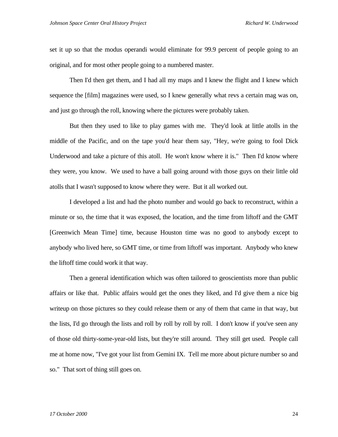set it up so that the modus operandi would eliminate for 99.9 percent of people going to an original, and for most other people going to a numbered master.

Then I'd then get them, and I had all my maps and I knew the flight and I knew which sequence the [film] magazines were used, so I knew generally what revs a certain mag was on, and just go through the roll, knowing where the pictures were probably taken.

But then they used to like to play games with me. They'd look at little atolls in the middle of the Pacific, and on the tape you'd hear them say, "Hey, we're going to fool Dick Underwood and take a picture of this atoll. He won't know where it is." Then I'd know where they were, you know. We used to have a ball going around with those guys on their little old atolls that I wasn't supposed to know where they were. But it all worked out.

I developed a list and had the photo number and would go back to reconstruct, within a minute or so, the time that it was exposed, the location, and the time from liftoff and the GMT [Greenwich Mean Time] time, because Houston time was no good to anybody except to anybody who lived here, so GMT time, or time from liftoff was important. Anybody who knew the liftoff time could work it that way.

Then a general identification which was often tailored to geoscientists more than public affairs or like that. Public affairs would get the ones they liked, and I'd give them a nice big writeup on those pictures so they could release them or any of them that came in that way, but the lists, I'd go through the lists and roll by roll by roll by roll. I don't know if you've seen any of those old thirty-some-year-old lists, but they're still around. They still get used. People call me at home now, "I've got your list from Gemini IX. Tell me more about picture number so and so." That sort of thing still goes on.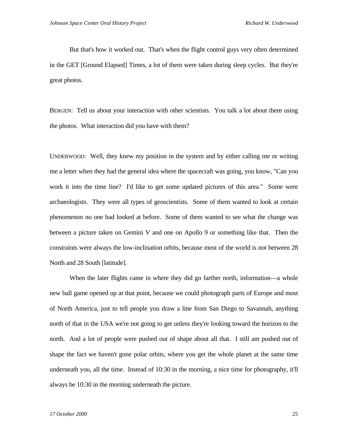But that's how it worked out. That's when the flight control guys very often determined in the GET [Ground Elapsed] Times, a lot of them were taken during sleep cycles. But they're great photos.

BERGEN: Tell us about your interaction with other scientists. You talk a lot about them using the photos. What interaction did you have with them?

UNDERWOOD: Well, they knew my position in the system and by either calling me or writing me a letter when they had the general idea where the spacecraft was going, you know, "Can you work it into the time line? I'd like to get some updated pictures of this area." Some were archaeologists. They were all types of geoscientists. Some of them wanted to look at certain phenomenon no one had looked at before. Some of them wanted to see what the change was between a picture taken on Gemini V and one on Apollo 9 or something like that. Then the constraints were always the low-inclination orbits, because most of the world is not between 28 North and 28 South [latitude].

When the later flights came in where they did go farther north, information—a whole new ball game opened up at that point, because we could photograph parts of Europe and most of North America, just to tell people you draw a line from San Diego to Savannah, anything north of that in the USA we're not going to get unless they're looking toward the horizon to the north. And a lot of people were pushed out of shape about all that. I still am pushed out of shape the fact we haven't gone polar orbits, where you get the whole planet at the same time underneath you, all the time. Instead of 10:30 in the morning, a nice time for photography, it'll always be 10:30 in the morning underneath the picture.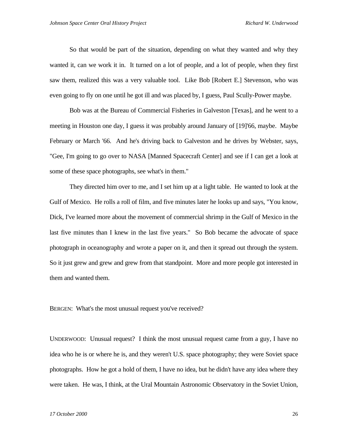So that would be part of the situation, depending on what they wanted and why they wanted it, can we work it in. It turned on a lot of people, and a lot of people, when they first saw them, realized this was a very valuable tool. Like Bob [Robert E.] Stevenson, who was even going to fly on one until he got ill and was placed by, I guess, Paul Scully-Power maybe.

Bob was at the Bureau of Commercial Fisheries in Galveston [Texas], and he went to a meeting in Houston one day, I guess it was probably around January of [19]'66, maybe. Maybe February or March '66. And he's driving back to Galveston and he drives by Webster, says, "Gee, I'm going to go over to NASA [Manned Spacecraft Center] and see if I can get a look at some of these space photographs, see what's in them."

They directed him over to me, and I set him up at a light table. He wanted to look at the Gulf of Mexico. He rolls a roll of film, and five minutes later he looks up and says, "You know, Dick, I've learned more about the movement of commercial shrimp in the Gulf of Mexico in the last five minutes than I knew in the last five years." So Bob became the advocate of space photograph in oceanography and wrote a paper on it, and then it spread out through the system. So it just grew and grew and grew from that standpoint. More and more people got interested in them and wanted them.

BERGEN: What's the most unusual request you've received?

UNDERWOOD: Unusual request? I think the most unusual request came from a guy, I have no idea who he is or where he is, and they weren't U.S. space photography; they were Soviet space photographs. How he got a hold of them, I have no idea, but he didn't have any idea where they were taken. He was, I think, at the Ural Mountain Astronomic Observatory in the Soviet Union,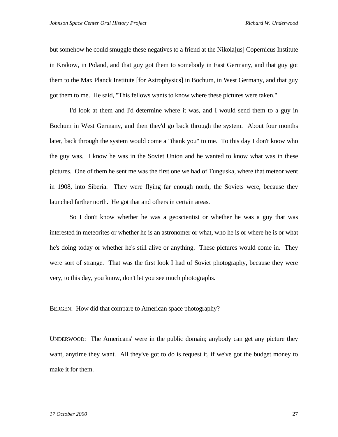but somehow he could smuggle these negatives to a friend at the Nikola[us] Copernicus Institute in Krakow, in Poland, and that guy got them to somebody in East Germany, and that guy got them to the Max Planck Institute [for Astrophysics] in Bochum, in West Germany, and that guy got them to me. He said, "This fellows wants to know where these pictures were taken."

I'd look at them and I'd determine where it was, and I would send them to a guy in Bochum in West Germany, and then they'd go back through the system. About four months later, back through the system would come a "thank you" to me. To this day I don't know who the guy was. I know he was in the Soviet Union and he wanted to know what was in these pictures. One of them he sent me was the first one we had of Tunguska, where that meteor went in 1908, into Siberia. They were flying far enough north, the Soviets were, because they launched farther north. He got that and others in certain areas.

So I don't know whether he was a geoscientist or whether he was a guy that was interested in meteorites or whether he is an astronomer or what, who he is or where he is or what he's doing today or whether he's still alive or anything. These pictures would come in. They were sort of strange. That was the first look I had of Soviet photography, because they were very, to this day, you know, don't let you see much photographs.

BERGEN: How did that compare to American space photography?

UNDERWOOD: The Americans' were in the public domain; anybody can get any picture they want, anytime they want. All they've got to do is request it, if we've got the budget money to make it for them.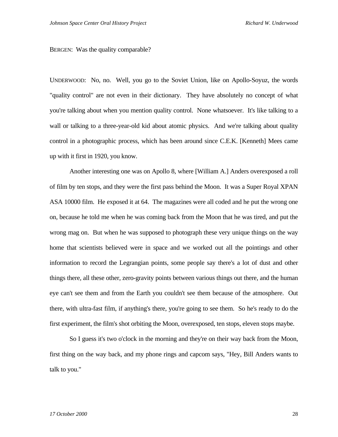## BERGEN: Was the quality comparable?

UNDERWOOD: No, no. Well, you go to the Soviet Union, like on Apollo-Soyuz, the words "quality control" are not even in their dictionary. They have absolutely no concept of what you're talking about when you mention quality control. None whatsoever. It's like talking to a wall or talking to a three-year-old kid about atomic physics. And we're talking about quality control in a photographic process, which has been around since C.E.K. [Kenneth] Mees came up with it first in 1920, you know.

Another interesting one was on Apollo 8, where [William A.] Anders overexposed a roll of film by ten stops, and they were the first pass behind the Moon. It was a Super Royal XPAN ASA 10000 film. He exposed it at 64. The magazines were all coded and he put the wrong one on, because he told me when he was coming back from the Moon that he was tired, and put the wrong mag on. But when he was supposed to photograph these very unique things on the way home that scientists believed were in space and we worked out all the pointings and other information to record the Legrangian points, some people say there's a lot of dust and other things there, all these other, zero-gravity points between various things out there, and the human eye can't see them and from the Earth you couldn't see them because of the atmosphere. Out there, with ultra-fast film, if anything's there, you're going to see them. So he's ready to do the first experiment, the film's shot orbiting the Moon, overexposed, ten stops, eleven stops maybe.

So I guess it's two o'clock in the morning and they're on their way back from the Moon, first thing on the way back, and my phone rings and capcom says, "Hey, Bill Anders wants to talk to you."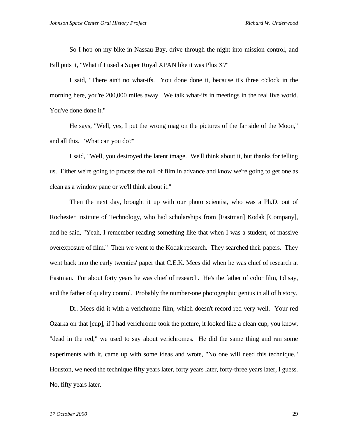So I hop on my bike in Nassau Bay, drive through the night into mission control, and Bill puts it, "What if I used a Super Royal XPAN like it was Plus X?"

I said, "There ain't no what-ifs. You done done it, because it's three o'clock in the morning here, you're 200,000 miles away. We talk what-ifs in meetings in the real live world. You've done done it."

He says, "Well, yes, I put the wrong mag on the pictures of the far side of the Moon," and all this. "What can you do?"

I said, "Well, you destroyed the latent image. We'll think about it, but thanks for telling us. Either we're going to process the roll of film in advance and know we're going to get one as clean as a window pane or we'll think about it."

Then the next day, brought it up with our photo scientist, who was a Ph.D. out of Rochester Institute of Technology, who had scholarships from [Eastman] Kodak [Company], and he said, "Yeah, I remember reading something like that when I was a student, of massive overexposure of film." Then we went to the Kodak research. They searched their papers. They went back into the early twenties' paper that C.E.K. Mees did when he was chief of research at Eastman. For about forty years he was chief of research. He's the father of color film, I'd say, and the father of quality control. Probably the number-one photographic genius in all of history.

Dr. Mees did it with a verichrome film, which doesn't record red very well. Your red Ozarka on that [cup], if I had verichrome took the picture, it looked like a clean cup, you know, "dead in the red," we used to say about verichromes. He did the same thing and ran some experiments with it, came up with some ideas and wrote, "No one will need this technique." Houston, we need the technique fifty years later, forty years later, forty-three years later, I guess. No, fifty years later.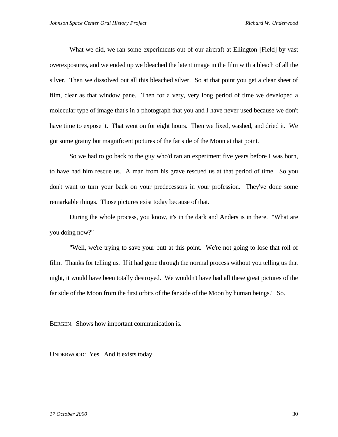What we did, we ran some experiments out of our aircraft at Ellington [Field] by vast overexposures, and we ended up we bleached the latent image in the film with a bleach of all the silver. Then we dissolved out all this bleached silver. So at that point you get a clear sheet of film, clear as that window pane. Then for a very, very long period of time we developed a molecular type of image that's in a photograph that you and I have never used because we don't have time to expose it. That went on for eight hours. Then we fixed, washed, and dried it. We got some grainy but magnificent pictures of the far side of the Moon at that point.

So we had to go back to the guy who'd ran an experiment five years before I was born, to have had him rescue us. A man from his grave rescued us at that period of time. So you don't want to turn your back on your predecessors in your profession. They've done some remarkable things. Those pictures exist today because of that.

During the whole process, you know, it's in the dark and Anders is in there. "What are you doing now?"

"Well, we're trying to save your butt at this point. We're not going to lose that roll of film. Thanks for telling us. If it had gone through the normal process without you telling us that night, it would have been totally destroyed. We wouldn't have had all these great pictures of the far side of the Moon from the first orbits of the far side of the Moon by human beings." So.

BERGEN: Shows how important communication is.

UNDERWOOD: Yes. And it exists today.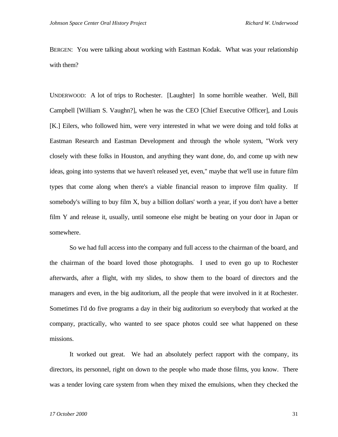BERGEN: You were talking about working with Eastman Kodak. What was your relationship with them?

UNDERWOOD: A lot of trips to Rochester. [Laughter] In some horrible weather. Well, Bill Campbell [William S. Vaughn?], when he was the CEO [Chief Executive Officer], and Louis [K.] Eilers, who followed him, were very interested in what we were doing and told folks at Eastman Research and Eastman Development and through the whole system, "Work very closely with these folks in Houston, and anything they want done, do, and come up with new ideas, going into systems that we haven't released yet, even," maybe that we'll use in future film types that come along when there's a viable financial reason to improve film quality. If somebody's willing to buy film X, buy a billion dollars' worth a year, if you don't have a better film Y and release it, usually, until someone else might be beating on your door in Japan or somewhere.

So we had full access into the company and full access to the chairman of the board, and the chairman of the board loved those photographs. I used to even go up to Rochester afterwards, after a flight, with my slides, to show them to the board of directors and the managers and even, in the big auditorium, all the people that were involved in it at Rochester. Sometimes I'd do five programs a day in their big auditorium so everybody that worked at the company, practically, who wanted to see space photos could see what happened on these missions.

It worked out great. We had an absolutely perfect rapport with the company, its directors, its personnel, right on down to the people who made those films, you know. There was a tender loving care system from when they mixed the emulsions, when they checked the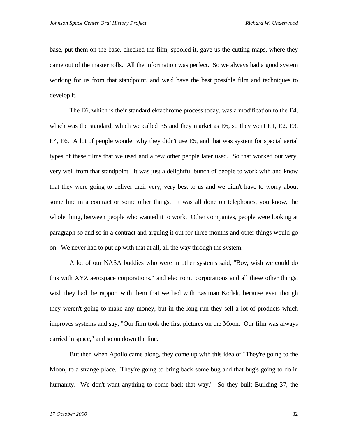base, put them on the base, checked the film, spooled it, gave us the cutting maps, where they came out of the master rolls. All the information was perfect. So we always had a good system working for us from that standpoint, and we'd have the best possible film and techniques to develop it.

The E6, which is their standard ektachrome process today, was a modification to the E4, which was the standard, which we called E5 and they market as E6, so they went E1, E2, E3, E4, E6. A lot of people wonder why they didn't use E5, and that was system for special aerial types of these films that we used and a few other people later used. So that worked out very, very well from that standpoint. It was just a delightful bunch of people to work with and know that they were going to deliver their very, very best to us and we didn't have to worry about some line in a contract or some other things. It was all done on telephones, you know, the whole thing, between people who wanted it to work. Other companies, people were looking at paragraph so and so in a contract and arguing it out for three months and other things would go on. We never had to put up with that at all, all the way through the system.

A lot of our NASA buddies who were in other systems said, "Boy, wish we could do this with XYZ aerospace corporations," and electronic corporations and all these other things, wish they had the rapport with them that we had with Eastman Kodak, because even though they weren't going to make any money, but in the long run they sell a lot of products which improves systems and say, "Our film took the first pictures on the Moon. Our film was always carried in space," and so on down the line.

But then when Apollo came along, they come up with this idea of "They're going to the Moon, to a strange place. They're going to bring back some bug and that bug's going to do in humanity. We don't want anything to come back that way." So they built Building 37, the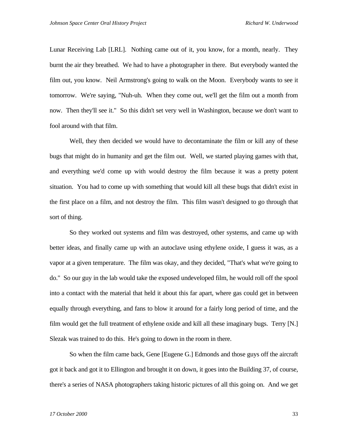Lunar Receiving Lab [LRL]. Nothing came out of it, you know, for a month, nearly. They burnt the air they breathed. We had to have a photographer in there. But everybody wanted the film out, you know. Neil Armstrong's going to walk on the Moon. Everybody wants to see it tomorrow. We're saying, "Nuh-uh. When they come out, we'll get the film out a month from now. Then they'll see it." So this didn't set very well in Washington, because we don't want to fool around with that film.

Well, they then decided we would have to decontaminate the film or kill any of these bugs that might do in humanity and get the film out. Well, we started playing games with that, and everything we'd come up with would destroy the film because it was a pretty potent situation. You had to come up with something that would kill all these bugs that didn't exist in the first place on a film, and not destroy the film. This film wasn't designed to go through that sort of thing.

So they worked out systems and film was destroyed, other systems, and came up with better ideas, and finally came up with an autoclave using ethylene oxide, I guess it was, as a vapor at a given temperature. The film was okay, and they decided, "That's what we're going to do." So our guy in the lab would take the exposed undeveloped film, he would roll off the spool into a contact with the material that held it about this far apart, where gas could get in between equally through everything, and fans to blow it around for a fairly long period of time, and the film would get the full treatment of ethylene oxide and kill all these imaginary bugs. Terry [N.] Slezak was trained to do this. He's going to down in the room in there.

So when the film came back, Gene [Eugene G.] Edmonds and those guys off the aircraft got it back and got it to Ellington and brought it on down, it goes into the Building 37, of course, there's a series of NASA photographers taking historic pictures of all this going on. And we get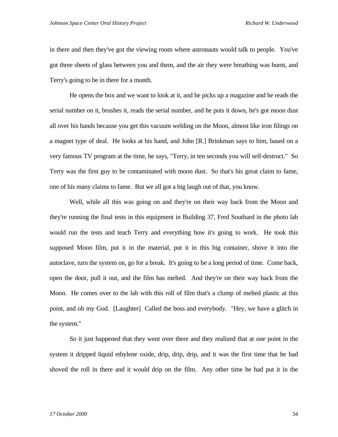in there and then they've got the viewing room where astronauts would talk to people. You've got three sheets of glass between you and them, and the air they were breathing was burnt, and Terry's going to be in there for a month.

He opens the box and we want to look at it, and he picks up a magazine and he reads the serial number on it, brushes it, reads the serial number, and he puts it down, he's got moon dust all over his hands because you get this vacuum welding on the Moon, almost like iron filings on a magnet type of deal. He looks at his hand, and John [R.] Brinkman says to him, based on a very famous TV program at the time, he says, "Terry, in ten seconds you will self-destruct." So Terry was the first guy to be contaminated with moon dust. So that's his great claim to fame, one of his many claims to fame. But we all got a big laugh out of that, you know.

Well, while all this was going on and they're on their way back from the Moon and they're running the final tests in this equipment in Building 37, Fred Southard in the photo lab would run the tests and teach Terry and everything how it's going to work. He took this supposed Moon film, put it in the material, put it in this big container, shove it into the autoclave, turn the system on, go for a break. It's going to be a long period of time. Come back, open the door, pull it out, and the film has melted. And they're on their way back from the Moon. He comes over to the lab with this roll of film that's a clump of melted plastic at this point, and oh my God. [Laughter] Called the boss and everybody. "Hey, we have a glitch in the system."

So it just happened that they went over there and they realized that at one point in the system it dripped liquid ethylene oxide, drip, drip, drip, and it was the first time that he had shoved the roll in there and it would drip on the film. Any other time he had put it in the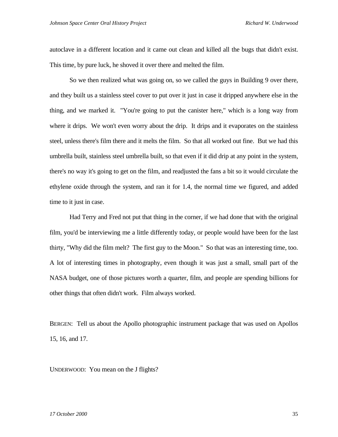autoclave in a different location and it came out clean and killed all the bugs that didn't exist. This time, by pure luck, he shoved it over there and melted the film.

So we then realized what was going on, so we called the guys in Building 9 over there, and they built us a stainless steel cover to put over it just in case it dripped anywhere else in the thing, and we marked it. "You're going to put the canister here," which is a long way from where it drips. We won't even worry about the drip. It drips and it evaporates on the stainless steel, unless there's film there and it melts the film. So that all worked out fine. But we had this umbrella built, stainless steel umbrella built, so that even if it did drip at any point in the system, there's no way it's going to get on the film, and readjusted the fans a bit so it would circulate the ethylene oxide through the system, and ran it for 1.4, the normal time we figured, and added time to it just in case.

Had Terry and Fred not put that thing in the corner, if we had done that with the original film, you'd be interviewing me a little differently today, or people would have been for the last thirty, "Why did the film melt? The first guy to the Moon." So that was an interesting time, too. A lot of interesting times in photography, even though it was just a small, small part of the NASA budget, one of those pictures worth a quarter, film, and people are spending billions for other things that often didn't work. Film always worked.

BERGEN: Tell us about the Apollo photographic instrument package that was used on Apollos 15, 16, and 17.

UNDERWOOD: You mean on the J flights?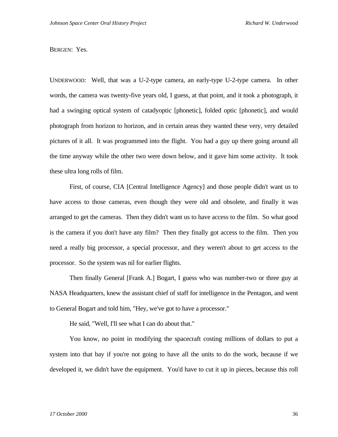## BERGEN: Yes.

UNDERWOOD: Well, that was a U-2-type camera, an early-type U-2-type camera. In other words, the camera was twenty-five years old, I guess, at that point, and it took a photograph, it had a swinging optical system of catadyoptic [phonetic], folded optic [phonetic], and would photograph from horizon to horizon, and in certain areas they wanted these very, very detailed pictures of it all. It was programmed into the flight. You had a guy up there going around all the time anyway while the other two were down below, and it gave him some activity. It took these ultra long rolls of film.

First, of course, CIA [Central Intelligence Agency] and those people didn't want us to have access to those cameras, even though they were old and obsolete, and finally it was arranged to get the cameras. Then they didn't want us to have access to the film. So what good is the camera if you don't have any film? Then they finally got access to the film. Then you need a really big processor, a special processor, and they weren't about to get access to the processor. So the system was nil for earlier flights.

Then finally General [Frank A.] Bogart, I guess who was number-two or three guy at NASA Headquarters, knew the assistant chief of staff for intelligence in the Pentagon, and went to General Bogart and told him, "Hey, we've got to have a processor."

He said, "Well, I'll see what I can do about that."

You know, no point in modifying the spacecraft costing millions of dollars to put a system into that bay if you're not going to have all the units to do the work, because if we developed it, we didn't have the equipment. You'd have to cut it up in pieces, because this roll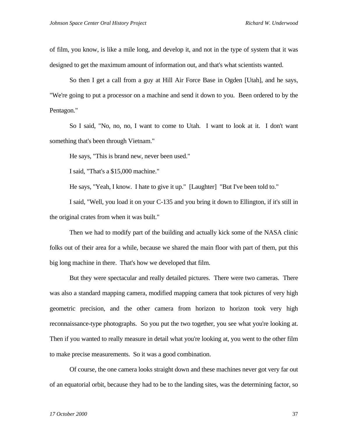of film, you know, is like a mile long, and develop it, and not in the type of system that it was designed to get the maximum amount of information out, and that's what scientists wanted.

So then I get a call from a guy at Hill Air Force Base in Ogden [Utah], and he says, "We're going to put a processor on a machine and send it down to you. Been ordered to by the Pentagon."

So I said, "No, no, no, I want to come to Utah. I want to look at it. I don't want something that's been through Vietnam."

He says, "This is brand new, never been used."

I said, "That's a \$15,000 machine."

He says, "Yeah, I know. I hate to give it up." [Laughter] "But I've been told to."

I said, "Well, you load it on your C-135 and you bring it down to Ellington, if it's still in the original crates from when it was built."

Then we had to modify part of the building and actually kick some of the NASA clinic folks out of their area for a while, because we shared the main floor with part of them, put this big long machine in there. That's how we developed that film.

But they were spectacular and really detailed pictures. There were two cameras. There was also a standard mapping camera, modified mapping camera that took pictures of very high geometric precision, and the other camera from horizon to horizon took very high reconnaissance-type photographs. So you put the two together, you see what you're looking at. Then if you wanted to really measure in detail what you're looking at, you went to the other film to make precise measurements. So it was a good combination.

Of course, the one camera looks straight down and these machines never got very far out of an equatorial orbit, because they had to be to the landing sites, was the determining factor, so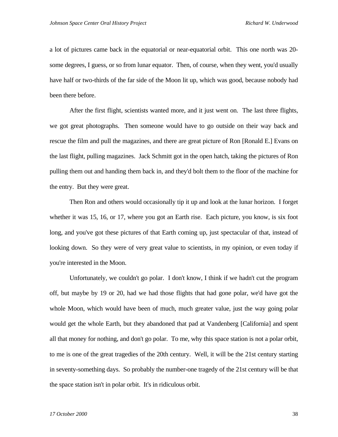a lot of pictures came back in the equatorial or near-equatorial orbit. This one north was 20 some degrees, I guess, or so from lunar equator. Then, of course, when they went, you'd usually have half or two-thirds of the far side of the Moon lit up, which was good, because nobody had been there before.

After the first flight, scientists wanted more, and it just went on. The last three flights, we got great photographs. Then someone would have to go outside on their way back and rescue the film and pull the magazines, and there are great picture of Ron [Ronald E.] Evans on the last flight, pulling magazines. Jack Schmitt got in the open hatch, taking the pictures of Ron pulling them out and handing them back in, and they'd bolt them to the floor of the machine for the entry. But they were great.

Then Ron and others would occasionally tip it up and look at the lunar horizon. I forget whether it was 15, 16, or 17, where you got an Earth rise. Each picture, you know, is six foot long, and you've got these pictures of that Earth coming up, just spectacular of that, instead of looking down. So they were of very great value to scientists, in my opinion, or even today if you're interested in the Moon.

Unfortunately, we couldn't go polar. I don't know, I think if we hadn't cut the program off, but maybe by 19 or 20, had we had those flights that had gone polar, we'd have got the whole Moon, which would have been of much, much greater value, just the way going polar would get the whole Earth, but they abandoned that pad at Vandenberg [California] and spent all that money for nothing, and don't go polar. To me, why this space station is not a polar orbit, to me is one of the great tragedies of the 20th century. Well, it will be the 21st century starting in seventy-something days. So probably the number-one tragedy of the 21st century will be that the space station isn't in polar orbit. It's in ridiculous orbit.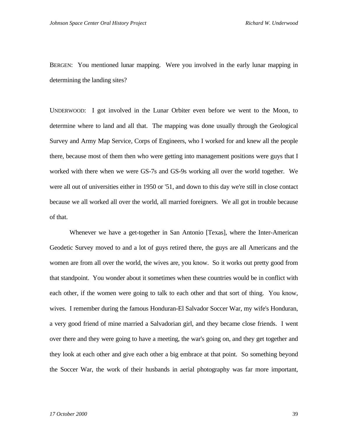BERGEN: You mentioned lunar mapping. Were you involved in the early lunar mapping in determining the landing sites?

UNDERWOOD: I got involved in the Lunar Orbiter even before we went to the Moon, to determine where to land and all that. The mapping was done usually through the Geological Survey and Army Map Service, Corps of Engineers, who I worked for and knew all the people there, because most of them then who were getting into management positions were guys that I worked with there when we were GS-7s and GS-9s working all over the world together. We were all out of universities either in 1950 or '51, and down to this day we're still in close contact because we all worked all over the world, all married foreigners. We all got in trouble because of that.

Whenever we have a get-together in San Antonio [Texas], where the Inter-American Geodetic Survey moved to and a lot of guys retired there, the guys are all Americans and the women are from all over the world, the wives are, you know. So it works out pretty good from that standpoint. You wonder about it sometimes when these countries would be in conflict with each other, if the women were going to talk to each other and that sort of thing. You know, wives. I remember during the famous Honduran-El Salvador Soccer War, my wife's Honduran, a very good friend of mine married a Salvadorian girl, and they became close friends. I went over there and they were going to have a meeting, the war's going on, and they get together and they look at each other and give each other a big embrace at that point. So something beyond the Soccer War, the work of their husbands in aerial photography was far more important,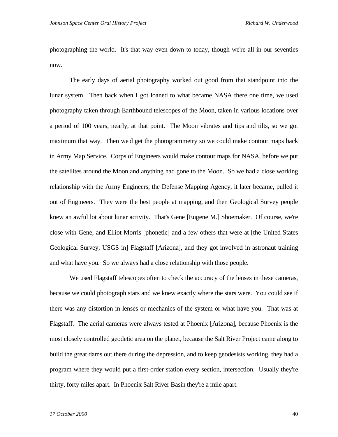photographing the world. It's that way even down to today, though we're all in our seventies now.

The early days of aerial photography worked out good from that standpoint into the lunar system. Then back when I got loaned to what became NASA there one time, we used photography taken through Earthbound telescopes of the Moon, taken in various locations over a period of 100 years, nearly, at that point. The Moon vibrates and tips and tilts, so we got maximum that way. Then we'd get the photogrammetry so we could make contour maps back in Army Map Service. Corps of Engineers would make contour maps for NASA, before we put the satellites around the Moon and anything had gone to the Moon. So we had a close working relationship with the Army Engineers, the Defense Mapping Agency, it later became, pulled it out of Engineers. They were the best people at mapping, and then Geological Survey people knew an awful lot about lunar activity. That's Gene [Eugene M.] Shoemaker. Of course, we're close with Gene, and Elliot Morris [phonetic] and a few others that were at [the United States Geological Survey, USGS in] Flagstaff [Arizona], and they got involved in astronaut training and what have you. So we always had a close relationship with those people.

We used Flagstaff telescopes often to check the accuracy of the lenses in these cameras, because we could photograph stars and we knew exactly where the stars were. You could see if there was any distortion in lenses or mechanics of the system or what have you. That was at Flagstaff. The aerial cameras were always tested at Phoenix [Arizona], because Phoenix is the most closely controlled geodetic area on the planet, because the Salt River Project came along to build the great dams out there during the depression, and to keep geodesists working, they had a program where they would put a first-order station every section, intersection. Usually they're thirty, forty miles apart. In Phoenix Salt River Basin they're a mile apart.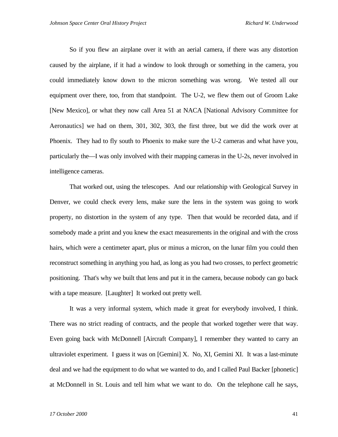So if you flew an airplane over it with an aerial camera, if there was any distortion caused by the airplane, if it had a window to look through or something in the camera, you could immediately know down to the micron something was wrong. We tested all our equipment over there, too, from that standpoint. The U-2, we flew them out of Groom Lake [New Mexico], or what they now call Area 51 at NACA [National Advisory Committee for Aeronautics] we had on them, 301, 302, 303, the first three, but we did the work over at Phoenix. They had to fly south to Phoenix to make sure the U-2 cameras and what have you, particularly the—I was only involved with their mapping cameras in the U-2s, never involved in intelligence cameras.

That worked out, using the telescopes. And our relationship with Geological Survey in Denver, we could check every lens, make sure the lens in the system was going to work property, no distortion in the system of any type. Then that would be recorded data, and if somebody made a print and you knew the exact measurements in the original and with the cross hairs, which were a centimeter apart, plus or minus a micron, on the lunar film you could then reconstruct something in anything you had, as long as you had two crosses, to perfect geometric positioning. That's why we built that lens and put it in the camera, because nobody can go back with a tape measure. [Laughter] It worked out pretty well.

It was a very informal system, which made it great for everybody involved, I think. There was no strict reading of contracts, and the people that worked together were that way. Even going back with McDonnell [Aircraft Company], I remember they wanted to carry an ultraviolet experiment. I guess it was on [Gemini] X. No, XI, Gemini XI. It was a last-minute deal and we had the equipment to do what we wanted to do, and I called Paul Backer [phonetic] at McDonnell in St. Louis and tell him what we want to do. On the telephone call he says,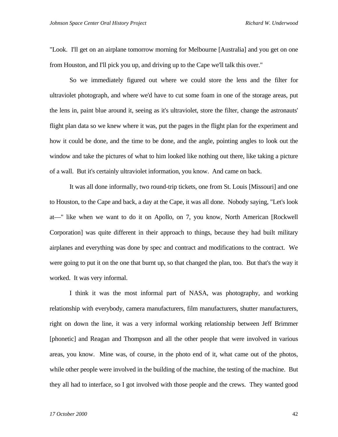"Look. I'll get on an airplane tomorrow morning for Melbourne [Australia] and you get on one from Houston, and I'll pick you up, and driving up to the Cape we'll talk this over."

So we immediately figured out where we could store the lens and the filter for ultraviolet photograph, and where we'd have to cut some foam in one of the storage areas, put the lens in, paint blue around it, seeing as it's ultraviolet, store the filter, change the astronauts' flight plan data so we knew where it was, put the pages in the flight plan for the experiment and how it could be done, and the time to be done, and the angle, pointing angles to look out the window and take the pictures of what to him looked like nothing out there, like taking a picture of a wall. But it's certainly ultraviolet information, you know. And came on back.

It was all done informally, two round-trip tickets, one from St. Louis [Missouri] and one to Houston, to the Cape and back, a day at the Cape, it was all done. Nobody saying, "Let's look at—" like when we want to do it on Apollo, on 7, you know, North American [Rockwell Corporation] was quite different in their approach to things, because they had built military airplanes and everything was done by spec and contract and modifications to the contract. We were going to put it on the one that burnt up, so that changed the plan, too. But that's the way it worked. It was very informal.

I think it was the most informal part of NASA, was photography, and working relationship with everybody, camera manufacturers, film manufacturers, shutter manufacturers, right on down the line, it was a very informal working relationship between Jeff Brimmer [phonetic] and Reagan and Thompson and all the other people that were involved in various areas, you know. Mine was, of course, in the photo end of it, what came out of the photos, while other people were involved in the building of the machine, the testing of the machine. But they all had to interface, so I got involved with those people and the crews. They wanted good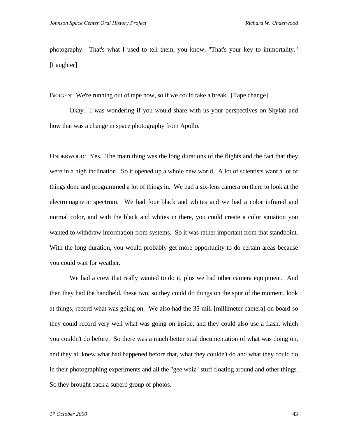photography. That's what I used to tell them, you know, "That's your key to immortality." [Laughter]

BERGEN: We're running out of tape now, so if we could take a break. [Tape change]

Okay. I was wondering if you would share with us your perspectives on Skylab and how that was a change in space photography from Apollo.

UNDERWOOD: Yes. The main thing was the long durations of the flights and the fact that they were in a high inclination. So it opened up a whole new world. A lot of scientists want a lot of things done and programmed a lot of things in. We had a six-lens camera on there to look at the electromagnetic spectrum. We had four black and whites and we had a color infrared and normal color, and with the black and whites in there, you could create a color situation you wanted to withdraw information from systems. So it was rather important from that standpoint. With the long duration, you would probably get more opportunity to do certain areas because you could wait for weather.

We had a crew that really wanted to do it, plus we had other camera equipment. And then they had the handheld, these two, so they could do things on the spur of the moment, look at things, record what was going on. We also had the 35-mill [millimeter camera] on board so they could record very well what was going on inside, and they could also use a flash, which you couldn't do before. So there was a much better total documentation of what was doing on, and they all knew what had happened before that, what they couldn't do and what they could do in their photographing experiments and all the "gee whiz" stuff floating around and other things. So they brought back a superb group of photos.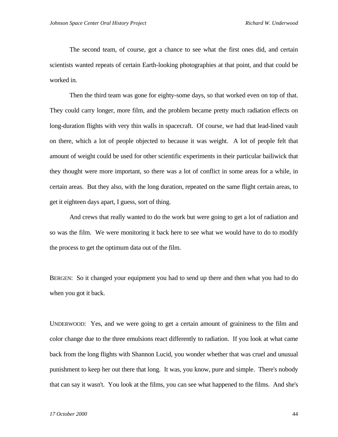The second team, of course, got a chance to see what the first ones did, and certain scientists wanted repeats of certain Earth-looking photographies at that point, and that could be worked in.

Then the third team was gone for eighty-some days, so that worked even on top of that. They could carry longer, more film, and the problem became pretty much radiation effects on long-duration flights with very thin walls in spacecraft. Of course, we had that lead-lined vault on there, which a lot of people objected to because it was weight. A lot of people felt that amount of weight could be used for other scientific experiments in their particular bailiwick that they thought were more important, so there was a lot of conflict in some areas for a while, in certain areas. But they also, with the long duration, repeated on the same flight certain areas, to get it eighteen days apart, I guess, sort of thing.

And crews that really wanted to do the work but were going to get a lot of radiation and so was the film. We were monitoring it back here to see what we would have to do to modify the process to get the optimum data out of the film.

BERGEN: So it changed your equipment you had to send up there and then what you had to do when you got it back.

UNDERWOOD: Yes, and we were going to get a certain amount of graininess to the film and color change due to the three emulsions react differently to radiation. If you look at what came back from the long flights with Shannon Lucid, you wonder whether that was cruel and unusual punishment to keep her out there that long. It was, you know, pure and simple. There's nobody that can say it wasn't. You look at the films, you can see what happened to the films. And she's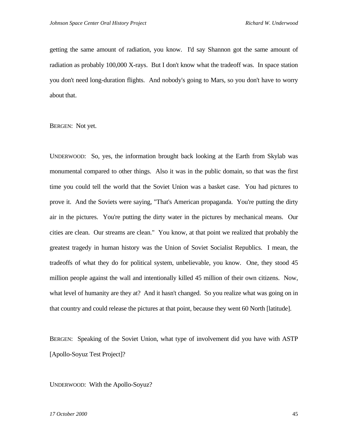getting the same amount of radiation, you know. I'd say Shannon got the same amount of radiation as probably 100,000 X-rays. But I don't know what the tradeoff was. In space station you don't need long-duration flights. And nobody's going to Mars, so you don't have to worry about that.

BERGEN: Not yet.

UNDERWOOD: So, yes, the information brought back looking at the Earth from Skylab was monumental compared to other things. Also it was in the public domain, so that was the first time you could tell the world that the Soviet Union was a basket case. You had pictures to prove it. And the Soviets were saying, "That's American propaganda. You're putting the dirty air in the pictures. You're putting the dirty water in the pictures by mechanical means. Our cities are clean. Our streams are clean." You know, at that point we realized that probably the greatest tragedy in human history was the Union of Soviet Socialist Republics. I mean, the tradeoffs of what they do for political system, unbelievable, you know. One, they stood 45 million people against the wall and intentionally killed 45 million of their own citizens. Now, what level of humanity are they at? And it hasn't changed. So you realize what was going on in that country and could release the pictures at that point, because they went 60 North [latitude].

BERGEN: Speaking of the Soviet Union, what type of involvement did you have with ASTP [Apollo-Soyuz Test Project]?

UNDERWOOD: With the Apollo-Soyuz?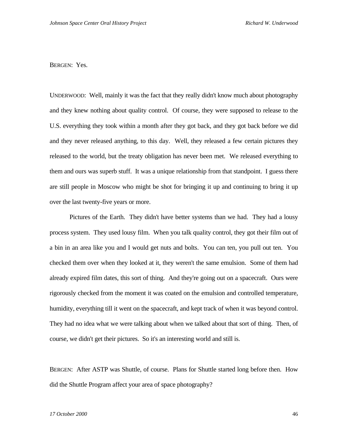BERGEN: Yes.

UNDERWOOD: Well, mainly it was the fact that they really didn't know much about photography and they knew nothing about quality control. Of course, they were supposed to release to the U.S. everything they took within a month after they got back, and they got back before we did and they never released anything, to this day. Well, they released a few certain pictures they released to the world, but the treaty obligation has never been met. We released everything to them and ours was superb stuff. It was a unique relationship from that standpoint. I guess there are still people in Moscow who might be shot for bringing it up and continuing to bring it up over the last twenty-five years or more.

Pictures of the Earth. They didn't have better systems than we had. They had a lousy process system. They used lousy film. When you talk quality control, they got their film out of a bin in an area like you and I would get nuts and bolts. You can ten, you pull out ten. You checked them over when they looked at it, they weren't the same emulsion. Some of them had already expired film dates, this sort of thing. And they're going out on a spacecraft. Ours were rigorously checked from the moment it was coated on the emulsion and controlled temperature, humidity, everything till it went on the spacecraft, and kept track of when it was beyond control. They had no idea what we were talking about when we talked about that sort of thing. Then, of course, we didn't get their pictures. So it's an interesting world and still is.

BERGEN: After ASTP was Shuttle, of course. Plans for Shuttle started long before then. How did the Shuttle Program affect your area of space photography?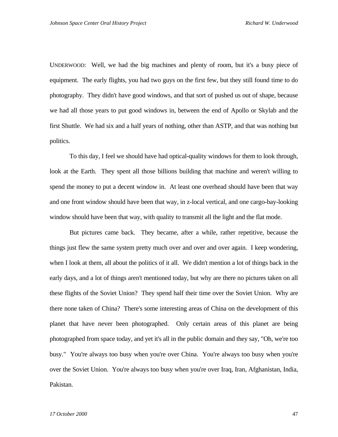UNDERWOOD: Well, we had the big machines and plenty of room, but it's a busy piece of equipment. The early flights, you had two guys on the first few, but they still found time to do photography. They didn't have good windows, and that sort of pushed us out of shape, because we had all those years to put good windows in, between the end of Apollo or Skylab and the first Shuttle. We had six and a half years of nothing, other than ASTP, and that was nothing but politics.

To this day, I feel we should have had optical-quality windows for them to look through, look at the Earth. They spent all those billions building that machine and weren't willing to spend the money to put a decent window in. At least one overhead should have been that way and one front window should have been that way, in z-local vertical, and one cargo-bay-looking window should have been that way, with quality to transmit all the light and the flat mode.

But pictures came back. They became, after a while, rather repetitive, because the things just flew the same system pretty much over and over and over again. I keep wondering, when I look at them, all about the politics of it all. We didn't mention a lot of things back in the early days, and a lot of things aren't mentioned today, but why are there no pictures taken on all these flights of the Soviet Union? They spend half their time over the Soviet Union. Why are there none taken of China? There's some interesting areas of China on the development of this planet that have never been photographed. Only certain areas of this planet are being photographed from space today, and yet it's all in the public domain and they say, "Oh, we're too busy." You're always too busy when you're over China. You're always too busy when you're over the Soviet Union. You're always too busy when you're over Iraq, Iran, Afghanistan, India, Pakistan.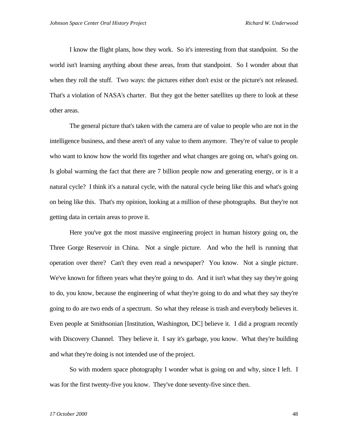I know the flight plans, how they work. So it's interesting from that standpoint. So the world isn't learning anything about these areas, from that standpoint. So I wonder about that when they roll the stuff. Two ways: the pictures either don't exist or the picture's not released. That's a violation of NASA's charter. But they got the better satellites up there to look at these other areas.

The general picture that's taken with the camera are of value to people who are not in the intelligence business, and these aren't of any value to them anymore. They're of value to people who want to know how the world fits together and what changes are going on, what's going on. Is global warming the fact that there are 7 billion people now and generating energy, or is it a natural cycle? I think it's a natural cycle, with the natural cycle being like this and what's going on being like this. That's my opinion, looking at a million of these photographs. But they're not getting data in certain areas to prove it.

Here you've got the most massive engineering project in human history going on, the Three Gorge Reservoir in China. Not a single picture. And who the hell is running that operation over there? Can't they even read a newspaper? You know. Not a single picture. We've known for fifteen years what they're going to do. And it isn't what they say they're going to do, you know, because the engineering of what they're going to do and what they say they're going to do are two ends of a spectrum. So what they release is trash and everybody believes it. Even people at Smithsonian [Institution, Washington, DC] believe it. I did a program recently with Discovery Channel. They believe it. I say it's garbage, you know. What they're building and what they're doing is not intended use of the project.

So with modern space photography I wonder what is going on and why, since I left. I was for the first twenty-five you know. They've done seventy-five since then.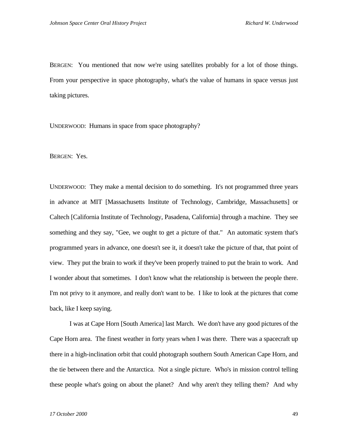BERGEN: You mentioned that now we're using satellites probably for a lot of those things. From your perspective in space photography, what's the value of humans in space versus just taking pictures.

UNDERWOOD: Humans in space from space photography?

BERGEN: Yes.

UNDERWOOD: They make a mental decision to do something. It's not programmed three years in advance at MIT [Massachusetts Institute of Technology, Cambridge, Massachusetts] or Caltech [California Institute of Technology, Pasadena, California] through a machine. They see something and they say, "Gee, we ought to get a picture of that." An automatic system that's programmed years in advance, one doesn't see it, it doesn't take the picture of that, that point of view. They put the brain to work if they've been properly trained to put the brain to work. And I wonder about that sometimes. I don't know what the relationship is between the people there. I'm not privy to it anymore, and really don't want to be. I like to look at the pictures that come back, like I keep saying.

I was at Cape Horn [South America] last March. We don't have any good pictures of the Cape Horn area. The finest weather in forty years when I was there. There was a spacecraft up there in a high-inclination orbit that could photograph southern South American Cape Horn, and the tie between there and the Antarctica. Not a single picture. Who's in mission control telling these people what's going on about the planet? And why aren't they telling them? And why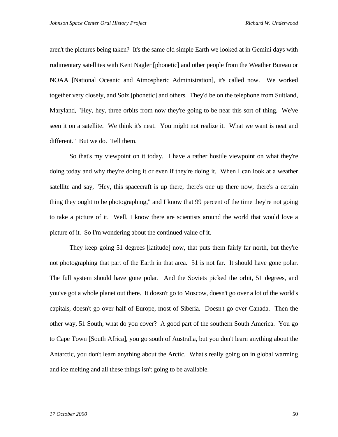aren't the pictures being taken? It's the same old simple Earth we looked at in Gemini days with rudimentary satellites with Kent Nagler [phonetic] and other people from the Weather Bureau or NOAA [National Oceanic and Atmospheric Administration], it's called now. We worked together very closely, and Solz [phonetic] and others. They'd be on the telephone from Suitland, Maryland, "Hey, hey, three orbits from now they're going to be near this sort of thing. We've seen it on a satellite. We think it's neat. You might not realize it. What we want is neat and different." But we do. Tell them.

So that's my viewpoint on it today. I have a rather hostile viewpoint on what they're doing today and why they're doing it or even if they're doing it. When I can look at a weather satellite and say, "Hey, this spacecraft is up there, there's one up there now, there's a certain thing they ought to be photographing," and I know that 99 percent of the time they're not going to take a picture of it. Well, I know there are scientists around the world that would love a picture of it. So I'm wondering about the continued value of it.

They keep going 51 degrees [latitude] now, that puts them fairly far north, but they're not photographing that part of the Earth in that area. 51 is not far. It should have gone polar. The full system should have gone polar. And the Soviets picked the orbit, 51 degrees, and you've got a whole planet out there. It doesn't go to Moscow, doesn't go over a lot of the world's capitals, doesn't go over half of Europe, most of Siberia. Doesn't go over Canada. Then the other way, 51 South, what do you cover? A good part of the southern South America. You go to Cape Town [South Africa], you go south of Australia, but you don't learn anything about the Antarctic, you don't learn anything about the Arctic. What's really going on in global warming and ice melting and all these things isn't going to be available.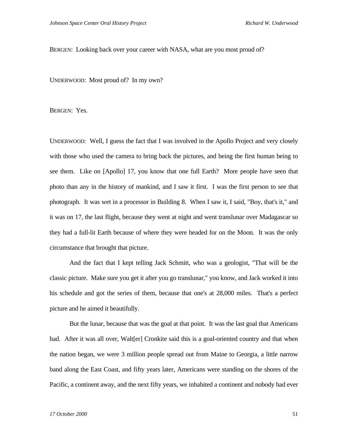BERGEN: Looking back over your career with NASA, what are you most proud of?

UNDERWOOD: Most proud of? In my own?

BERGEN: Yes.

UNDERWOOD: Well, I guess the fact that I was involved in the Apollo Project and very closely with those who used the camera to bring back the pictures, and being the first human being to see them. Like on [Apollo] 17, you know that one full Earth? More people have seen that photo than any in the history of mankind, and I saw it first. I was the first person to see that photograph. It was wet in a processor in Building 8. When I saw it, I said, "Boy, that's it," and it was on 17, the last flight, because they went at night and went translunar over Madagascar so they had a full-lit Earth because of where they were headed for on the Moon. It was the only circumstance that brought that picture.

And the fact that I kept telling Jack Schmitt, who was a geologist, "That will be the classic picture. Make sure you get it after you go translunar," you know, and Jack worked it into his schedule and got the series of them, because that one's at 28,000 miles. That's a perfect picture and he aimed it beautifully.

But the lunar, because that was the goal at that point. It was the last goal that Americans had. After it was all over, Walt[er] Cronkite said this is a goal-oriented country and that when the nation began, we were 3 million people spread out from Maine to Georgia, a little narrow band along the East Coast, and fifty years later, Americans were standing on the shores of the Pacific, a continent away, and the next fifty years, we inhabited a continent and nobody had ever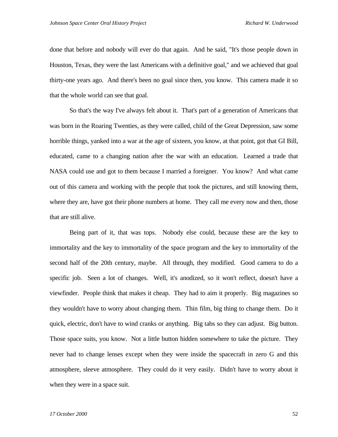done that before and nobody will ever do that again. And he said, "It's those people down in Houston, Texas, they were the last Americans with a definitive goal," and we achieved that goal thirty-one years ago. And there's been no goal since then, you know. This camera made it so that the whole world can see that goal.

So that's the way I've always felt about it. That's part of a generation of Americans that was born in the Roaring Twenties, as they were called, child of the Great Depression, saw some horrible things, yanked into a war at the age of sixteen, you know, at that point, got that GI Bill, educated, came to a changing nation after the war with an education. Learned a trade that NASA could use and got to them because I married a foreigner. You know? And what came out of this camera and working with the people that took the pictures, and still knowing them, where they are, have got their phone numbers at home. They call me every now and then, those that are still alive.

Being part of it, that was tops. Nobody else could, because these are the key to immortality and the key to immortality of the space program and the key to immortality of the second half of the 20th century, maybe. All through, they modified. Good camera to do a specific job. Seen a lot of changes. Well, it's anodized, so it won't reflect, doesn't have a viewfinder. People think that makes it cheap. They had to aim it properly. Big magazines so they wouldn't have to worry about changing them. Thin film, big thing to change them. Do it quick, electric, don't have to wind cranks or anything. Big tabs so they can adjust. Big button. Those space suits, you know. Not a little button hidden somewhere to take the picture. They never had to change lenses except when they were inside the spacecraft in zero G and this atmosphere, sleeve atmosphere. They could do it very easily. Didn't have to worry about it when they were in a space suit.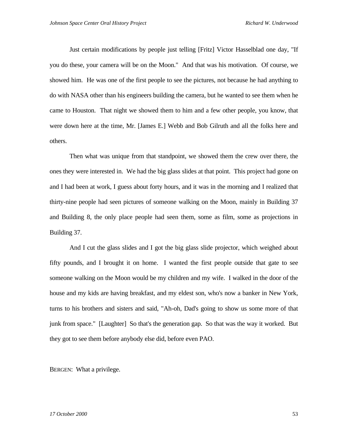Just certain modifications by people just telling [Fritz] Victor Hasselblad one day, "If you do these, your camera will be on the Moon." And that was his motivation. Of course, we showed him. He was one of the first people to see the pictures, not because he had anything to do with NASA other than his engineers building the camera, but he wanted to see them when he came to Houston. That night we showed them to him and a few other people, you know, that were down here at the time, Mr. [James E.] Webb and Bob Gilruth and all the folks here and others.

Then what was unique from that standpoint, we showed them the crew over there, the ones they were interested in. We had the big glass slides at that point. This project had gone on and I had been at work, I guess about forty hours, and it was in the morning and I realized that thirty-nine people had seen pictures of someone walking on the Moon, mainly in Building 37 and Building 8, the only place people had seen them, some as film, some as projections in Building 37.

And I cut the glass slides and I got the big glass slide projector, which weighed about fifty pounds, and I brought it on home. I wanted the first people outside that gate to see someone walking on the Moon would be my children and my wife. I walked in the door of the house and my kids are having breakfast, and my eldest son, who's now a banker in New York, turns to his brothers and sisters and said, "Ah-oh, Dad's going to show us some more of that junk from space." [Laughter] So that's the generation gap. So that was the way it worked. But they got to see them before anybody else did, before even PAO.

BERGEN: What a privilege.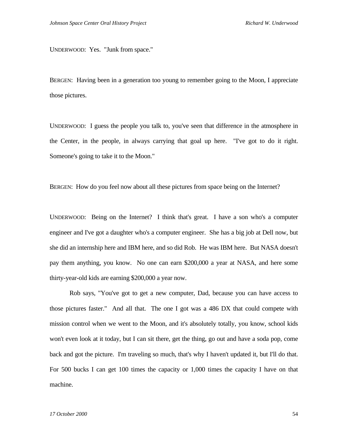UNDERWOOD: Yes. "Junk from space."

BERGEN: Having been in a generation too young to remember going to the Moon, I appreciate those pictures.

UNDERWOOD: I guess the people you talk to, you've seen that difference in the atmosphere in the Center, in the people, in always carrying that goal up here. "I've got to do it right. Someone's going to take it to the Moon."

BERGEN: How do you feel now about all these pictures from space being on the Internet?

UNDERWOOD: Being on the Internet? I think that's great. I have a son who's a computer engineer and I've got a daughter who's a computer engineer. She has a big job at Dell now, but she did an internship here and IBM here, and so did Rob. He was IBM here. But NASA doesn't pay them anything, you know. No one can earn \$200,000 a year at NASA, and here some thirty-year-old kids are earning \$200,000 a year now.

Rob says, "You've got to get a new computer, Dad, because you can have access to those pictures faster." And all that. The one I got was a 486 DX that could compete with mission control when we went to the Moon, and it's absolutely totally, you know, school kids won't even look at it today, but I can sit there, get the thing, go out and have a soda pop, come back and got the picture. I'm traveling so much, that's why I haven't updated it, but I'll do that. For 500 bucks I can get 100 times the capacity or 1,000 times the capacity I have on that machine.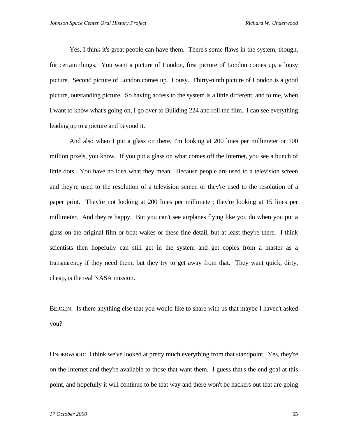Yes, I think it's great people can have them. There's some flaws in the system, though, for certain things. You want a picture of London, first picture of London comes up, a lousy picture. Second picture of London comes up. Lousy. Thirty-ninth picture of London is a good picture, outstanding picture. So having access to the system is a little different, and to me, when I want to know what's going on, I go over to Building 224 and roll the film. I can see everything leading up to a picture and beyond it.

And also when I put a glass on there, I'm looking at 200 lines per millimeter or 100 million pixels, you know. If you put a glass on what comes off the Internet, you see a bunch of little dots. You have no idea what they mean. Because people are used to a television screen and they're used to the resolution of a television screen or they're used to the resolution of a paper print. They're not looking at 200 lines per millimeter; they're looking at 15 lines per millimeter. And they're happy. But you can't see airplanes flying like you do when you put a glass on the original film or boat wakes or these fine detail, but at least they're there. I think scientists then hopefully can still get in the system and get copies from a master as a transparency if they need them, but they try to get away from that. They want quick, dirty, cheap, is the real NASA mission.

BERGEN: Is there anything else that you would like to share with us that maybe I haven't asked you?

UNDERWOOD: I think we've looked at pretty much everything from that standpoint. Yes, they're on the Internet and they're available to those that want them. I guess that's the end goal at this point, and hopefully it will continue to be that way and there won't be hackers out that are going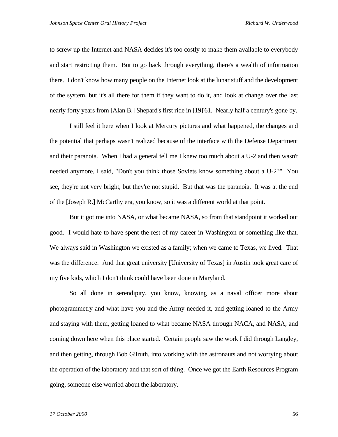to screw up the Internet and NASA decides it's too costly to make them available to everybody and start restricting them. But to go back through everything, there's a wealth of information there. I don't know how many people on the Internet look at the lunar stuff and the development of the system, but it's all there for them if they want to do it, and look at change over the last nearly forty years from [Alan B.] Shepard's first ride in [19]'61. Nearly half a century's gone by.

I still feel it here when I look at Mercury pictures and what happened, the changes and the potential that perhaps wasn't realized because of the interface with the Defense Department and their paranoia. When I had a general tell me I knew too much about a U-2 and then wasn't needed anymore, I said, "Don't you think those Soviets know something about a U-2?" You see, they're not very bright, but they're not stupid. But that was the paranoia. It was at the end of the [Joseph R.] McCarthy era, you know, so it was a different world at that point.

But it got me into NASA, or what became NASA, so from that standpoint it worked out good. I would hate to have spent the rest of my career in Washington or something like that. We always said in Washington we existed as a family; when we came to Texas, we lived. That was the difference. And that great university [University of Texas] in Austin took great care of my five kids, which I don't think could have been done in Maryland.

So all done in serendipity, you know, knowing as a naval officer more about photogrammetry and what have you and the Army needed it, and getting loaned to the Army and staying with them, getting loaned to what became NASA through NACA, and NASA, and coming down here when this place started. Certain people saw the work I did through Langley, and then getting, through Bob Gilruth, into working with the astronauts and not worrying about the operation of the laboratory and that sort of thing. Once we got the Earth Resources Program going, someone else worried about the laboratory.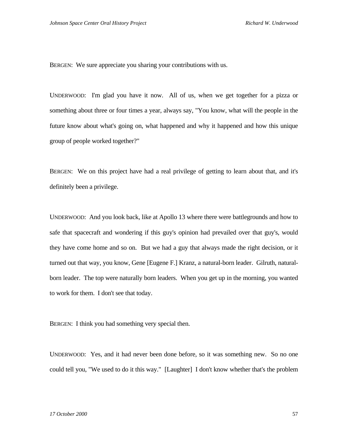BERGEN: We sure appreciate you sharing your contributions with us.

UNDERWOOD: I'm glad you have it now. All of us, when we get together for a pizza or something about three or four times a year, always say, "You know, what will the people in the future know about what's going on, what happened and why it happened and how this unique group of people worked together?"

BERGEN: We on this project have had a real privilege of getting to learn about that, and it's definitely been a privilege.

UNDERWOOD: And you look back, like at Apollo 13 where there were battlegrounds and how to safe that spacecraft and wondering if this guy's opinion had prevailed over that guy's, would they have come home and so on. But we had a guy that always made the right decision, or it turned out that way, you know, Gene [Eugene F.] Kranz, a natural-born leader. Gilruth, naturalborn leader. The top were naturally born leaders. When you get up in the morning, you wanted to work for them. I don't see that today.

BERGEN: I think you had something very special then.

UNDERWOOD: Yes, and it had never been done before, so it was something new. So no one could tell you, "We used to do it this way." [Laughter] I don't know whether that's the problem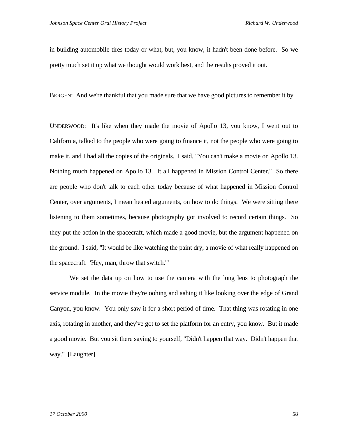in building automobile tires today or what, but, you know, it hadn't been done before. So we pretty much set it up what we thought would work best, and the results proved it out.

BERGEN: And we're thankful that you made sure that we have good pictures to remember it by.

UNDERWOOD: It's like when they made the movie of Apollo 13, you know, I went out to California, talked to the people who were going to finance it, not the people who were going to make it, and I had all the copies of the originals. I said, "You can't make a movie on Apollo 13. Nothing much happened on Apollo 13. It all happened in Mission Control Center." So there are people who don't talk to each other today because of what happened in Mission Control Center, over arguments, I mean heated arguments, on how to do things. We were sitting there listening to them sometimes, because photography got involved to record certain things. So they put the action in the spacecraft, which made a good movie, but the argument happened on the ground. I said, "It would be like watching the paint dry, a movie of what really happened on the spacecraft. 'Hey, man, throw that switch.'"

We set the data up on how to use the camera with the long lens to photograph the service module. In the movie they're oohing and aahing it like looking over the edge of Grand Canyon, you know. You only saw it for a short period of time. That thing was rotating in one axis, rotating in another, and they've got to set the platform for an entry, you know. But it made a good movie. But you sit there saying to yourself, "Didn't happen that way. Didn't happen that way." [Laughter]